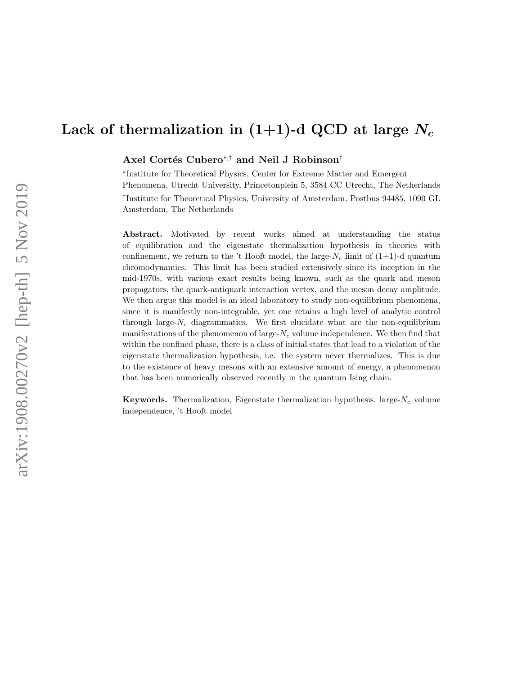Axel Cortés Cubero<sup>\*,†</sup> and Neil J Robinson<sup>†</sup>

∗ Institute for Theoretical Physics, Center for Extreme Matter and Emergent Phenomena, Utrecht University, Princetonplein 5, 3584 CC Utrecht, The Netherlands † Institute for Theoretical Physics, University of Amsterdam, Postbus 94485, 1090 GL Amsterdam, The Netherlands

Abstract. Motivated by recent works aimed at understanding the status of equilibration and the eigenstate thermalization hypothesis in theories with confinement, we return to the 't Hooft model, the large- $N_c$  limit of  $(1+1)$ -d quantum chromodynamics. This limit has been studied extensively since its inception in the mid-1970s, with various exact results being known, such as the quark and meson propagators, the quark-antiquark interaction vertex, and the meson decay amplitude. We then argue this model is an ideal laboratory to study non-equilibrium phenomena, since it is manifestly non-integrable, yet one retains a high level of analytic control through large- $N_c$  diagrammatics. We first elucidate what are the non-equilibrium manifestations of the phenomenon of large- $N_c$  volume independence. We then find that within the confined phase, there is a class of initial states that lead to a violation of the eigenstate thermalization hypothesis, i.e. the system never thermalizes. This is due to the existence of heavy mesons with an extensive amount of energy, a phenomenon that has been numerically observed recently in the quantum Ising chain.

**Keywords.** Thermalization, Eigenstate thermalization hypothesis, large- $N_c$  volume independence, 't Hooft model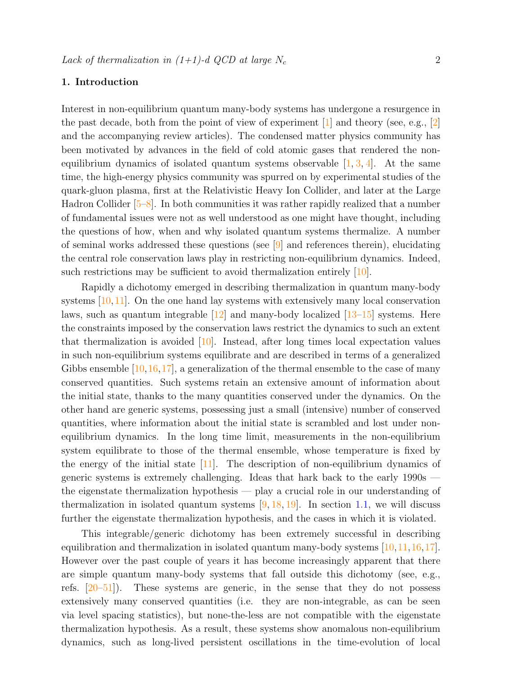# 1. Introduction

Interest in non-equilibrium quantum many-body systems has undergone a resurgence in the past decade, both from the point of view of experiment  $\boxed{1}$  and theory (see, e.g.,  $\boxed{2}$ ) and the accompanying review articles). The condensed matter physics community has been motivated by advances in the field of cold atomic gases that rendered the nonequilibrium dynamics of isolated quantum systems observable  $[1, 3, 4]$  $[1, 3, 4]$  $[1, 3, 4]$  $[1, 3, 4]$  $[1, 3, 4]$ . At the same time, the high-energy physics community was spurred on by experimental studies of the quark-gluon plasma, first at the Relativistic Heavy Ion Collider, and later at the Large Hadron Collider [\[5–](#page-26-4)[8\]](#page-27-0). In both communities it was rather rapidly realized that a number of fundamental issues were not as well understood as one might have thought, including the questions of how, when and why isolated quantum systems thermalize. A number of seminal works addressed these questions (see  $[9]$  and references therein), elucidating the central role conservation laws play in restricting non-equilibrium dynamics. Indeed, such restrictions may be sufficient to avoid thermalization entirely [\[10\]](#page-27-2).

Rapidly a dichotomy emerged in describing thermalization in quantum many-body systems [\[10,](#page-27-2)[11\]](#page-27-3). On the one hand lay systems with extensively many local conservation laws, such as quantum integrable [\[12\]](#page-27-4) and many-body localized [\[13–](#page-27-5)[15\]](#page-27-6) systems. Here the constraints imposed by the conservation laws restrict the dynamics to such an extent that thermalization is avoided  $[10]$ . Instead, after long times local expectation values in such non-equilibrium systems equilibrate and are described in terms of a generalized Gibbs ensemble  $[10,16,17]$  $[10,16,17]$  $[10,16,17]$ , a generalization of the thermal ensemble to the case of many conserved quantities. Such systems retain an extensive amount of information about the initial state, thanks to the many quantities conserved under the dynamics. On the other hand are generic systems, possessing just a small (intensive) number of conserved quantities, where information about the initial state is scrambled and lost under nonequilibrium dynamics. In the long time limit, measurements in the non-equilibrium system equilibrate to those of the thermal ensemble, whose temperature is fixed by the energy of the initial state  $[11]$ . The description of non-equilibrium dynamics of generic systems is extremely challenging. Ideas that hark back to the early 1990s the eigenstate thermalization hypothesis — play a crucial role in our understanding of thermalization in isolated quantum systems  $[9, 18, 19]$  $[9, 18, 19]$  $[9, 18, 19]$  $[9, 18, 19]$  $[9, 18, 19]$ . In section [1.1,](#page-2-0) we will discuss further the eigenstate thermalization hypothesis, and the cases in which it is violated.

This integrable/generic dichotomy has been extremely successful in describing equilibration and thermalization in isolated quantum many-body systems [\[10,](#page-27-2)[11,](#page-27-3)[16,](#page-27-7)[17\]](#page-27-8). However over the past couple of years it has become increasingly apparent that there are simple quantum many-body systems that fall outside this dichotomy (see, e.g., refs. [\[20–](#page-27-11)[51\]](#page-28-0)). These systems are generic, in the sense that they do not possess extensively many conserved quantities (i.e. they are non-integrable, as can be seen via level spacing statistics), but none-the-less are not compatible with the eigenstate thermalization hypothesis. As a result, these systems show anomalous non-equilibrium dynamics, such as long-lived persistent oscillations in the time-evolution of local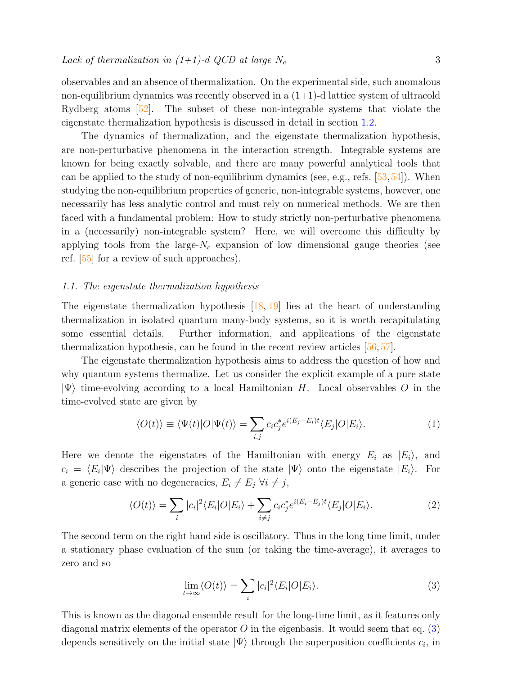observables and an absence of thermalization. On the experimental side, such anomalous non-equilibrium dynamics was recently observed in a  $(1+1)$ -d lattice system of ultracold Rydberg atoms [\[52\]](#page-28-1). The subset of these non-integrable systems that violate the eigenstate thermalization hypothesis is discussed in detail in section [1.2.](#page-4-0)

The dynamics of thermalization, and the eigenstate thermalization hypothesis, are non-perturbative phenomena in the interaction strength. Integrable systems are known for being exactly solvable, and there are many powerful analytical tools that can be applied to the study of non-equilibrium dynamics (see, e.g., refs. [\[53,](#page-28-2)[54\]](#page-28-3)). When studying the non-equilibrium properties of generic, non-integrable systems, however, one necessarily has less analytic control and must rely on numerical methods. We are then faced with a fundamental problem: How to study strictly non-perturbative phenomena in a (necessarily) non-integrable system? Here, we will overcome this difficulty by applying tools from the large- $N_c$  expansion of low dimensional gauge theories (see ref. [\[55\]](#page-28-4) for a review of such approaches).

# <span id="page-2-0"></span>1.1. The eigenstate thermalization hypothesis

The eigenstate thermalization hypothesis  $[18, 19]$  $[18, 19]$  $[18, 19]$  lies at the heart of understanding thermalization in isolated quantum many-body systems, so it is worth recapitulating some essential details. Further information, and applications of the eigenstate thermalization hypothesis, can be found in the recent review articles [\[56,](#page-28-5) [57\]](#page-29-0).

The eigenstate thermalization hypothesis aims to address the question of how and why quantum systems thermalize. Let us consider the explicit example of a pure state  $|\Psi\rangle$  time-evolving according to a local Hamiltonian H. Local observables O in the time-evolved state are given by

$$
\langle O(t) \rangle \equiv \langle \Psi(t) | O | \Psi(t) \rangle = \sum_{i,j} c_i c_j^* e^{i(E_j - E_i)t} \langle E_j | O | E_i \rangle.
$$
 (1)

Here we denote the eigenstates of the Hamiltonian with energy  $E_i$  as  $|E_i\rangle$ , and  $c_i = \langle E_i | \Psi \rangle$  describes the projection of the state  $|\Psi \rangle$  onto the eigenstate  $|E_i \rangle$ . For a generic case with no degeneracies,  $E_i \neq E_j \ \forall i \neq j$ ,

$$
\langle O(t) \rangle = \sum_{i} |c_i|^2 \langle E_i | O | E_i \rangle + \sum_{i \neq j} c_i c_j^* e^{i(E_i - E_j)t} \langle E_j | O | E_i \rangle. \tag{2}
$$

The second term on the right hand side is oscillatory. Thus in the long time limit, under a stationary phase evaluation of the sum (or taking the time-average), it averages to zero and so

<span id="page-2-2"></span><span id="page-2-1"></span>
$$
\lim_{t \to \infty} \langle O(t) \rangle = \sum_{i} |c_i|^2 \langle E_i | O | E_i \rangle. \tag{3}
$$

This is known as the diagonal ensemble result for the long-time limit, as it features only diagonal matrix elements of the operator  $O$  in the eigenbasis. It would seem that eq. [\(3\)](#page-2-1) depends sensitively on the initial state  $|\Psi\rangle$  through the superposition coefficients  $c_i$ , in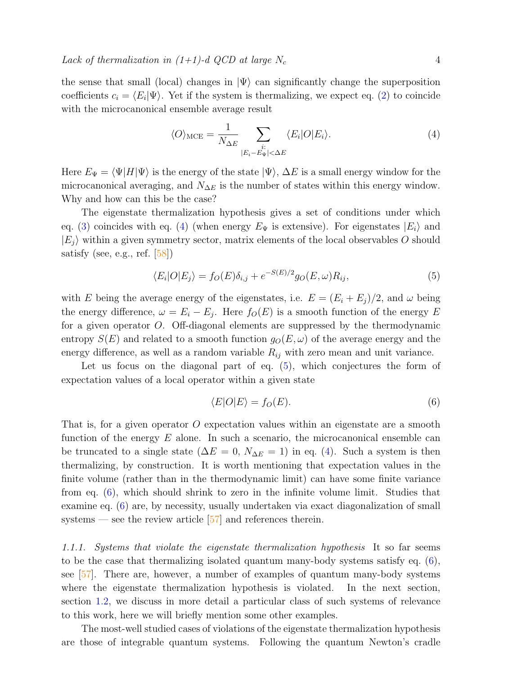the sense that small (local) changes in  $|\Psi\rangle$  can significantly change the superposition coefficients  $c_i = \langle E_i | \Psi \rangle$ . Yet if the system is thermalizing, we expect eq. [\(2\)](#page-2-2) to coincide with the microcanonical ensemble average result

<span id="page-3-0"></span>
$$
\langle O \rangle_{\text{MCE}} = \frac{1}{N_{\Delta E}} \sum_{\substack{i: \\ |E_i - E_{\Psi}| < \Delta E}} \langle E_i | O | E_i \rangle. \tag{4}
$$

Here  $E_{\Psi} = \langle \Psi | H | \Psi \rangle$  is the energy of the state  $|\Psi\rangle$ ,  $\Delta E$  is a small energy window for the microcanonical averaging, and  $N_{\Delta E}$  is the number of states within this energy window. Why and how can this be the case?

The eigenstate thermalization hypothesis gives a set of conditions under which eq. [\(3\)](#page-2-1) coincides with eq. [\(4\)](#page-3-0) (when energy  $E_{\Psi}$  is extensive). For eigenstates  $|E_i\rangle$  and  $|E_j\rangle$  within a given symmetry sector, matrix elements of the local observables O should satisfy (see, e.g., ref.  $[58]$ )

<span id="page-3-1"></span>
$$
\langle E_i|O|E_j\rangle = f_O(E)\delta_{i,j} + e^{-S(E)/2}g_O(E,\omega)R_{ij},\tag{5}
$$

with E being the average energy of the eigenstates, i.e.  $E = (E_i + E_j)/2$ , and  $\omega$  being the energy difference,  $\omega = E_i - E_j$ . Here  $f_O(E)$  is a smooth function of the energy E for a given operator O. Off-diagonal elements are suppressed by the thermodynamic entropy  $S(E)$  and related to a smooth function  $g_O(E,\omega)$  of the average energy and the energy difference, as well as a random variable  $R_{ij}$  with zero mean and unit variance.

Let us focus on the diagonal part of eq.  $(5)$ , which conjectures the form of expectation values of a local operator within a given state

<span id="page-3-2"></span>
$$
\langle E|O|E\rangle = f_O(E). \tag{6}
$$

That is, for a given operator O expectation values within an eigenstate are a smooth function of the energy  $E$  alone. In such a scenario, the microcanonical ensemble can be truncated to a single state ( $\Delta E = 0$ ,  $N_{\Delta E} = 1$ ) in eq. [\(4\)](#page-3-0). Such a system is then thermalizing, by construction. It is worth mentioning that expectation values in the finite volume (rather than in the thermodynamic limit) can have some finite variance from eq. [\(6\)](#page-3-2), which should shrink to zero in the infinite volume limit. Studies that examine eq. [\(6\)](#page-3-2) are, by necessity, usually undertaken via exact diagonalization of small systems — see the review article  $[57]$  and references therein.

1.1.1. Systems that violate the eigenstate thermalization hypothesis It so far seems to be the case that thermalizing isolated quantum many-body systems satisfy eq. [\(6\)](#page-3-2), see [\[57\]](#page-29-0). There are, however, a number of examples of quantum many-body systems where the eigenstate thermalization hypothesis is violated. In the next section, section [1.2,](#page-4-0) we discuss in more detail a particular class of such systems of relevance to this work, here we will briefly mention some other examples.

The most-well studied cases of violations of the eigenstate thermalization hypothesis are those of integrable quantum systems. Following the quantum Newton's cradle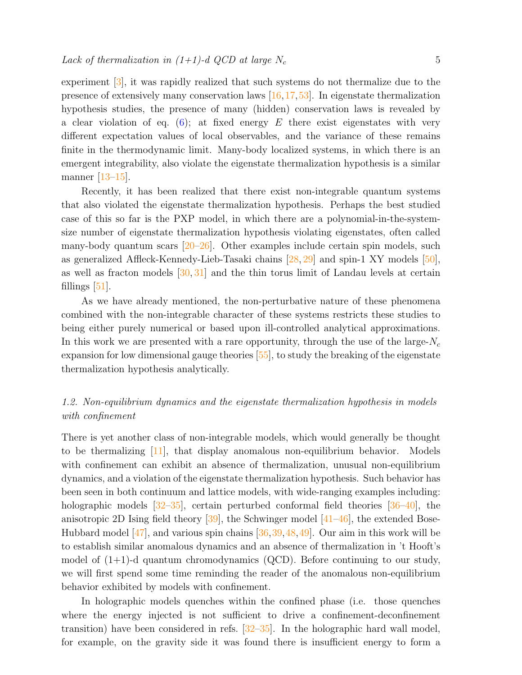experiment [\[3\]](#page-26-2), it was rapidly realized that such systems do not thermalize due to the presence of extensively many conservation laws [\[16,](#page-27-7)[17,](#page-27-8)[53\]](#page-28-2). In eigenstate thermalization hypothesis studies, the presence of many (hidden) conservation laws is revealed by a clear violation of eq. [\(6\)](#page-3-2); at fixed energy  $E$  there exist eigenstates with very different expectation values of local observables, and the variance of these remains finite in the thermodynamic limit. Many-body localized systems, in which there is an emergent integrability, also violate the eigenstate thermalization hypothesis is a similar manner [\[13](#page-27-5)[–15\]](#page-27-6).

Recently, it has been realized that there exist non-integrable quantum systems that also violated the eigenstate thermalization hypothesis. Perhaps the best studied case of this so far is the PXP model, in which there are a polynomial-in-the-systemsize number of eigenstate thermalization hypothesis violating eigenstates, often called many-body quantum scars  $[20-26]$  $[20-26]$ . Other examples include certain spin models, such as generalized Affleck-Kennedy-Lieb-Tasaki chains [\[28,](#page-27-13) [29\]](#page-27-14) and spin-1 XY models [\[50\]](#page-28-6), as well as fracton models  $[30, 31]$  $[30, 31]$  $[30, 31]$  and the thin torus limit of Landau levels at certain fillings  $[51]$ .

As we have already mentioned, the non-perturbative nature of these phenomena combined with the non-integrable character of these systems restricts these studies to being either purely numerical or based upon ill-controlled analytical approximations. In this work we are presented with a rare opportunity, through the use of the large- $N_c$ expansion for low dimensional gauge theories [\[55\]](#page-28-4), to study the breaking of the eigenstate thermalization hypothesis analytically.

# <span id="page-4-0"></span>1.2. Non-equilibrium dynamics and the eigenstate thermalization hypothesis in models with confinement

There is yet another class of non-integrable models, which would generally be thought to be thermalizing [\[11\]](#page-27-3), that display anomalous non-equilibrium behavior. Models with confinement can exhibit an absence of thermalization, unusual non-equilibrium dynamics, and a violation of the eigenstate thermalization hypothesis. Such behavior has been seen in both continuum and lattice models, with wide-ranging examples including: holographic models  $\left[32-35\right]$  $\left[32-35\right]$  $\left[32-35\right]$ , certain perturbed conformal field theories  $\left[36-40\right]$  $\left[36-40\right]$  $\left[36-40\right]$ , the anisotropic 2D Ising field theory  $[39]$ , the Schwinger model  $[41-46]$  $[41-46]$ , the extended Bose-Hubbard model  $[47]$ , and various spin chains  $[36,39,48,49]$  $[36,39,48,49]$  $[36,39,48,49]$  $[36,39,48,49]$ . Our aim in this work will be to establish similar anomalous dynamics and an absence of thermalization in 't Hooft's model of  $(1+1)$ -d quantum chromodynamics  $(QCD)$ . Before continuing to our study, we will first spend some time reminding the reader of the anomalous non-equilibrium behavior exhibited by models with confinement.

In holographic models quenches within the confined phase (i.e. those quenches where the energy injected is not sufficient to drive a confinement-deconfinement transition) have been considered in refs. [\[32–](#page-28-8)[35\]](#page-28-9). In the holographic hard wall model, for example, on the gravity side it was found there is insufficient energy to form a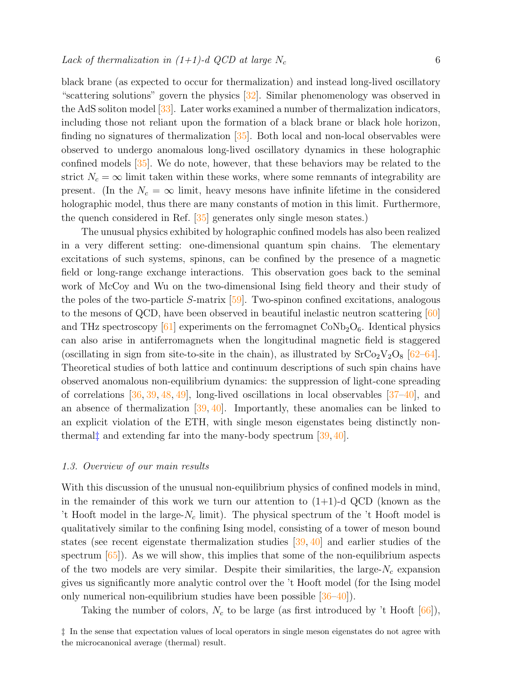black brane (as expected to occur for thermalization) and instead long-lived oscillatory "scattering solutions" govern the physics [\[32\]](#page-28-8). Similar phenomenology was observed in the AdS soliton model [\[33\]](#page-28-18). Later works examined a number of thermalization indicators, including those not reliant upon the formation of a black brane or black hole horizon, finding no signatures of thermalization  $\boxed{35}$ . Both local and non-local observables were observed to undergo anomalous long-lived oscillatory dynamics in these holographic confined models [\[35\]](#page-28-9). We do note, however, that these behaviors may be related to the strict  $N_c = \infty$  limit taken within these works, where some remnants of integrability are present. (In the  $N_c = \infty$  limit, heavy mesons have infinite lifetime in the considered holographic model, thus there are many constants of motion in this limit. Furthermore, the quench considered in Ref. [\[35\]](#page-28-9) generates only single meson states.)

The unusual physics exhibited by holographic confined models has also been realized in a very different setting: one-dimensional quantum spin chains. The elementary excitations of such systems, spinons, can be confined by the presence of a magnetic field or long-range exchange interactions. This observation goes back to the seminal work of McCoy and Wu on the two-dimensional Ising field theory and their study of the poles of the two-particle S-matrix  $[59]$ . Two-spinon confined excitations, analogous to the mesons of QCD, have been observed in beautiful inelastic neutron scattering [\[60\]](#page-29-3) and THz spectroscopy  $[61]$  experiments on the ferromagnet  $\text{CoNb}_2\text{O}_6$ . Identical physics can also arise in antiferromagnets when the longitudinal magnetic field is staggered (oscillating in sign from site-to-site in the chain), as illustrated by  $SrCo<sub>2</sub>V<sub>2</sub>O<sub>8</sub>$  [\[62–](#page-29-5)[64\]](#page-29-6). Theoretical studies of both lattice and continuum descriptions of such spin chains have observed anomalous non-equilibrium dynamics: the suppression of light-cone spreading of correlations [\[36,](#page-28-10) [39,](#page-28-12) [48,](#page-28-16) [49\]](#page-28-17), long-lived oscillations in local observables [\[37–](#page-28-19)[40\]](#page-28-11), and an absence of thermalization  $[39, 40]$  $[39, 40]$  $[39, 40]$ . Importantly, these anomalies can be linked to an explicit violation of the ETH, with single meson eigenstates being distinctly nonthermal<sup> $\ddagger$ </sup> and extending far into the many-body spectrum [\[39,](#page-28-12) [40\]](#page-28-11).

# 1.3. Overview of our main results

With this discussion of the unusual non-equilibrium physics of confined models in mind, in the remainder of this work we turn our attention to  $(1+1)$ -d QCD (known as the 't Hooft model in the large- $N_c$  limit). The physical spectrum of the 't Hooft model is qualitatively similar to the confining Ising model, consisting of a tower of meson bound states (see recent eigenstate thermalization studies  $[39, 40]$  $[39, 40]$  $[39, 40]$  and earlier studies of the spectrum  $[65]$ . As we will show, this implies that some of the non-equilibrium aspects of the two models are very similar. Despite their similarities, the large- $N_c$  expansion gives us significantly more analytic control over the 't Hooft model (for the Ising model only numerical non-equilibrium studies have been possible  $[36-40]$  $[36-40]$ .

Taking the number of colors,  $N_c$  to be large (as first introduced by 't Hooft [\[66\]](#page-29-8)),

<span id="page-5-0"></span><sup>‡</sup> In the sense that expectation values of local operators in single meson eigenstates do not agree with the microcanonical average (thermal) result.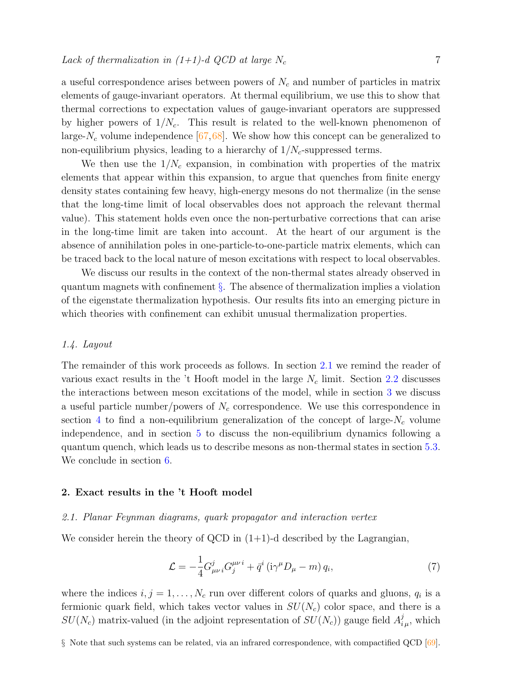a useful correspondence arises between powers of  $N_c$  and number of particles in matrix elements of gauge-invariant operators. At thermal equilibrium, we use this to show that thermal corrections to expectation values of gauge-invariant operators are suppressed by higher powers of  $1/N_c$ . This result is related to the well-known phenomenon of large- $N_c$  volume independence [\[67,](#page-29-9)[68\]](#page-29-10). We show how this concept can be generalized to non-equilibrium physics, leading to a hierarchy of  $1/N_c$ -suppressed terms.

We then use the  $1/N_c$  expansion, in combination with properties of the matrix elements that appear within this expansion, to argue that quenches from finite energy density states containing few heavy, high-energy mesons do not thermalize (in the sense that the long-time limit of local observables does not approach the relevant thermal value). This statement holds even once the non-perturbative corrections that can arise in the long-time limit are taken into account. At the heart of our argument is the absence of annihilation poles in one-particle-to-one-particle matrix elements, which can be traced back to the local nature of meson excitations with respect to local observables.

We discuss our results in the context of the non-thermal states already observed in quantum magnets with confinement [§](#page-6-0). The absence of thermalization implies a violation of the eigenstate thermalization hypothesis. Our results fits into an emerging picture in which theories with confinement can exhibit unusual thermalization properties.

#### 1.4. Layout

The remainder of this work proceeds as follows. In section [2.1](#page-6-1) we remind the reader of various exact results in the 't Hooft model in the large  $N_c$  limit. Section [2.2](#page-11-0) discusses the interactions between meson excitations of the model, while in section [3](#page-12-0) we discuss a useful particle number/powers of  $N_c$  correspondence. We use this correspondence in section [4](#page-14-0) to find a non-equilibrium generalization of the concept of large- $N_c$  volume independence, and in section [5](#page-18-0) to discuss the non-equilibrium dynamics following a quantum quench, which leads us to describe mesons as non-thermal states in section [5.3.](#page-23-0) We conclude in section [6.](#page-25-0)

# 2. Exact results in the 't Hooft model

# <span id="page-6-1"></span>2.1. Planar Feynman diagrams, quark propagator and interaction vertex

We consider herein the theory of QCD in  $(1+1)$ -d described by the Lagrangian,

<span id="page-6-2"></span>
$$
\mathcal{L} = -\frac{1}{4} G_{\mu\nu i}^j G_j^{\mu\nu i} + \bar{q}^i \left( i \gamma^\mu D_\mu - m \right) q_i,\tag{7}
$$

<span id="page-6-0"></span>where the indices  $i, j = 1, \ldots, N_c$  run over different colors of quarks and gluons,  $q_i$  is a fermionic quark field, which takes vector values in  $SU(N_c)$  color space, and there is a  $SU(N_c)$  matrix-valued (in the adjoint representation of  $SU(N_c)$ ) gauge field  $A^j_{i\mu}$ , which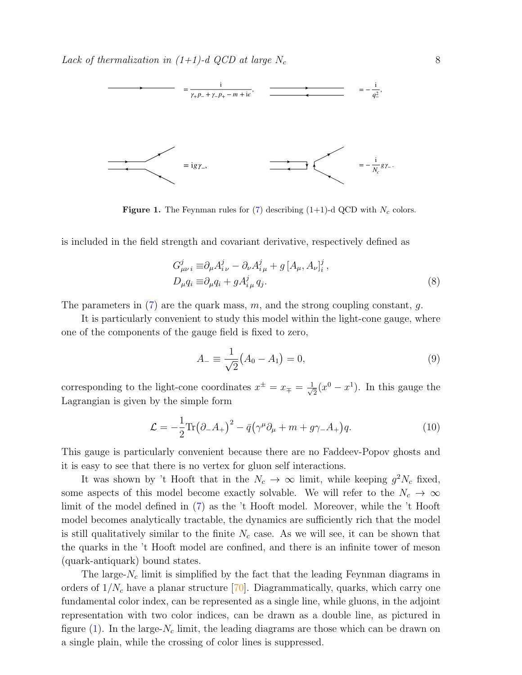

<span id="page-7-0"></span>**Figure 1.** The Feynman rules for [\(7\)](#page-6-2) describing  $(1+1)$ -d QCD with  $N_c$  colors.

is included in the field strength and covariant derivative, respectively defined as

$$
G_{\mu\nu i}^j \equiv \partial_\mu A_{i\nu}^j - \partial_\nu A_{i\mu}^j + g \left[ A_\mu, A_\nu \right]_i^j, D_\mu q_i \equiv \partial_\mu q_i + g A_{i\mu}^j q_j.
$$
 (8)

The parameters in  $(7)$  are the quark mass, m, and the strong coupling constant, q.

It is particularly convenient to study this model within the light-cone gauge, where one of the components of the gauge field is fixed to zero,

$$
A_{-} \equiv \frac{1}{\sqrt{2}} \left( A_0 - A_1 \right) = 0, \tag{9}
$$

corresponding to the light-cone coordinates  $x^{\pm} = x_{\mp} = \frac{1}{\sqrt{2}}$  $\overline{z}(x^0 - x^1)$ . In this gauge the Lagrangian is given by the simple form

<span id="page-7-1"></span>
$$
\mathcal{L} = -\frac{1}{2} \text{Tr} \left( \partial_- A_+ \right)^2 - \bar{q} \left( \gamma^\mu \partial_\mu + m + g \gamma_- A_+ \right) q. \tag{10}
$$

This gauge is particularly convenient because there are no Faddeev-Popov ghosts and it is easy to see that there is no vertex for gluon self interactions.

It was shown by 't Hooft that in the  $N_c \to \infty$  limit, while keeping  $g^2 N_c$  fixed, some aspects of this model become exactly solvable. We will refer to the  $N_c \to \infty$ limit of the model defined in [\(7\)](#page-6-2) as the 't Hooft model. Moreover, while the 't Hooft model becomes analytically tractable, the dynamics are sufficiently rich that the model is still qualitatively similar to the finite  $N_c$  case. As we will see, it can be shown that the quarks in the 't Hooft model are confined, and there is an infinite tower of meson (quark-antiquark) bound states.

The large- $N_c$  limit is simplified by the fact that the leading Feynman diagrams in orders of  $1/N_c$  have a planar structure [\[70\]](#page-29-12). Diagrammatically, quarks, which carry one fundamental color index, can be represented as a single line, while gluons, in the adjoint representation with two color indices, can be drawn as a double line, as pictured in figure [\(1\)](#page-7-0). In the large- $N_c$  limit, the leading diagrams are those which can be drawn on a single plain, while the crossing of color lines is suppressed.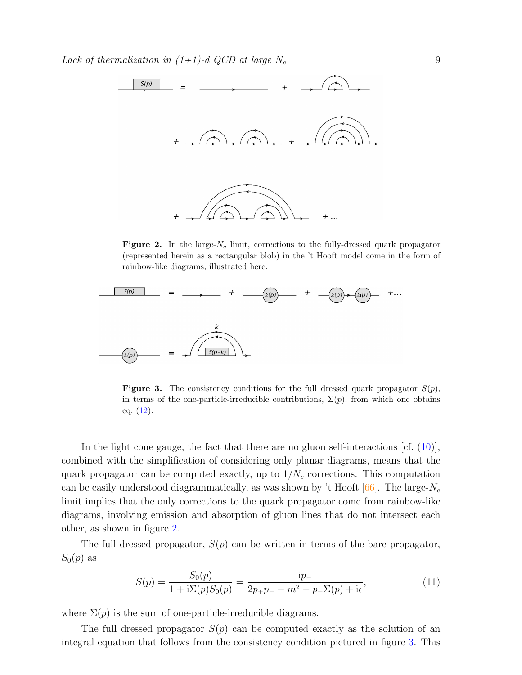

<span id="page-8-0"></span>**Figure 2.** In the large- $N_c$  limit, corrections to the fully-dressed quark propagator (represented herein as a rectangular blob) in the 't Hooft model come in the form of rainbow-like diagrams, illustrated here.



<span id="page-8-1"></span>**Figure 3.** The consistency conditions for the full dressed quark propagator  $S(p)$ , in terms of the one-particle-irreducible contributions,  $\Sigma(p)$ , from which one obtains eq.  $(12)$ .

In the light cone gauge, the fact that there are no gluon self-interactions  $[\text{cf. } (10)]$  $[\text{cf. } (10)]$  $[\text{cf. } (10)]$ , combined with the simplification of considering only planar diagrams, means that the quark propagator can be computed exactly, up to  $1/N_c$  corrections. This computation can be easily understood diagrammatically, as was shown by 't Hooft  $[66]$ . The large- $N_c$ limit implies that the only corrections to the quark propagator come from rainbow-like diagrams, involving emission and absorption of gluon lines that do not intersect each other, as shown in figure [2.](#page-8-0)

The full dressed propagator,  $S(p)$  can be written in terms of the bare propagator,  $S_0(p)$  as

$$
S(p) = \frac{S_0(p)}{1 + i\Sigma(p)S_0(p)} = \frac{ip_-}{2p_+p_- - m^2 - p_-\Sigma(p) + i\epsilon},\tag{11}
$$

where  $\Sigma(p)$  is the sum of one-particle-irreducible diagrams.

The full dressed propagator  $S(p)$  can be computed exactly as the solution of an integral equation that follows from the consistency condition pictured in figure [3.](#page-8-1) This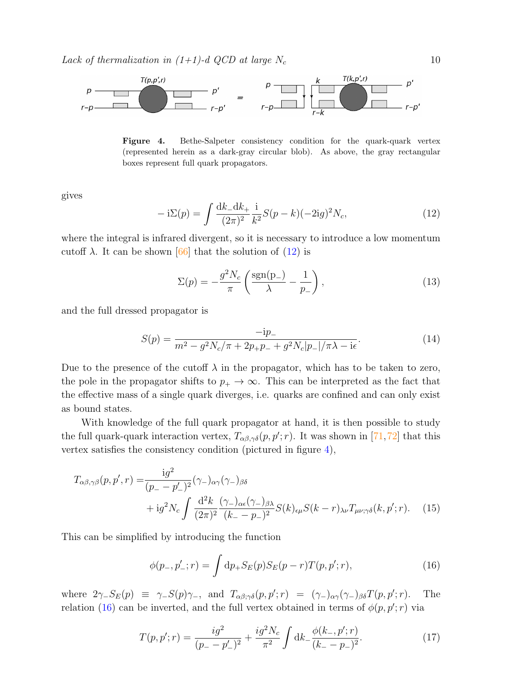

<span id="page-9-1"></span>Figure 4. Bethe-Salpeter consistency condition for the quark-quark vertex (represented herein as a dark-gray circular blob). As above, the gray rectangular boxes represent full quark propagators.

gives

<span id="page-9-0"></span>
$$
-i\Sigma(p) = \int \frac{dk_- dk_+}{(2\pi)^2} \frac{i}{k^2} S(p-k) (-2ig)^2 N_c,
$$
\n(12)

where the integral is infrared divergent, so it is necessary to introduce a low momentum cutoff  $\lambda$ . It can be shown [\[66\]](#page-29-8) that the solution of [\(12\)](#page-9-0) is

$$
\Sigma(p) = -\frac{g^2 N_c}{\pi} \left( \frac{\text{sgn}(p_-)}{\lambda} - \frac{1}{p_-} \right),\tag{13}
$$

and the full dressed propagator is

<span id="page-9-4"></span>
$$
S(p) = \frac{-ip_{-}}{m^{2} - g^{2}N_{c}/\pi + 2p_{+}p_{-} + g^{2}N_{c}|p_{-}|/\pi\lambda - i\epsilon}.
$$
\n(14)

Due to the presence of the cutoff  $\lambda$  in the propagator, which has to be taken to zero, the pole in the propagator shifts to  $p_+ \to \infty$ . This can be interpreted as the fact that the effective mass of a single quark diverges, i.e. quarks are confined and can only exist as bound states.

With knowledge of the full quark propagator at hand, it is then possible to study the full quark-quark interaction vertex,  $T_{\alpha\beta,\gamma\delta}(p,p';r)$ . It was shown in [\[71,](#page-29-13)[72\]](#page-29-14) that this vertex satisfies the consistency condition (pictured in figure [4\)](#page-9-1),

$$
T_{\alpha\beta,\gamma\beta}(p,p',r) = \frac{ig^2}{(p_{-}-p'_{-})^2} (\gamma_{-})_{\alpha\gamma}(\gamma_{-})_{\beta\delta}
$$
  
+ 
$$
ig^2 N_c \int \frac{d^2 k}{(2\pi)^2} \frac{(\gamma_{-})_{\alpha\epsilon}(\gamma_{-})_{\beta\lambda}}{(k_{-}-p_{-})^2} S(k)_{\epsilon\mu} S(k-r)_{\lambda\nu} T_{\mu\nu;\gamma\delta}(k,p';r).
$$
 (15)

This can be simplified by introducing the function

<span id="page-9-5"></span><span id="page-9-2"></span>
$$
\phi(p_-, p'_-; r) = \int dp_+ S_E(p) S_E(p-r) T(p, p'; r), \qquad (16)
$$

where  $2\gamma_- S_E(p) \equiv \gamma_- S(p)\gamma_-,$  and  $T_{\alpha\beta;\gamma\delta}(p,p';r) = (\gamma_-)_{\alpha\gamma}(\gamma_-)_{\beta\delta}T(p,p';r)$ . The relation [\(16\)](#page-9-2) can be inverted, and the full vertex obtained in terms of  $\phi(p, p'; r)$  via

<span id="page-9-3"></span>
$$
T(p, p'; r) = \frac{ig^2}{(p_- - p'_-)^2} + \frac{ig^2 N_c}{\pi^2} \int \mathrm{d}k_- \frac{\phi(k_-, p'; r)}{(k_- - p_-)^2}.
$$
 (17)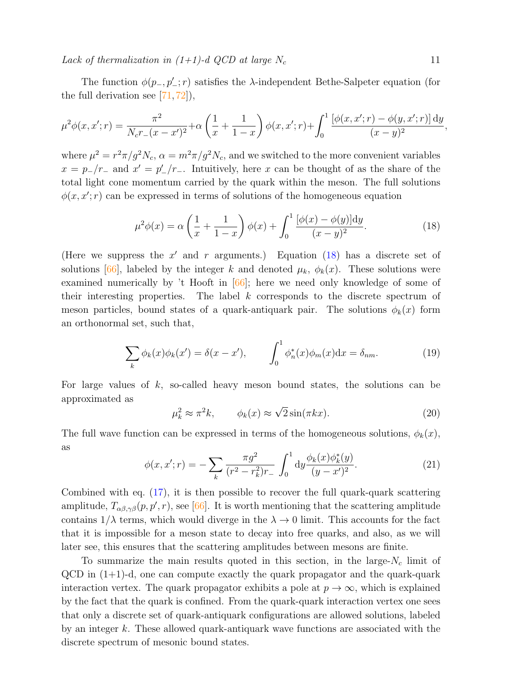The function  $\phi(p_-, p'_-; r)$  satisfies the  $\lambda$ -independent Bethe-Salpeter equation (for the full derivation see  $[71, 72]$  $[71, 72]$  $[71, 72]$ ,

<span id="page-10-0"></span>
$$
\mu^2 \phi(x, x'; r) = \frac{\pi^2}{N_c r_-(x - x')^2} + \alpha \left(\frac{1}{x} + \frac{1}{1 - x}\right) \phi(x, x'; r) + \int_0^1 \frac{\left[\phi(x, x'; r) - \phi(y, x'; r)\right] dy}{(x - y)^2}
$$

where  $\mu^2 = r^2 \pi / g^2 N_c$ ,  $\alpha = m^2 \pi / g^2 N_c$ , and we switched to the more convenient variables  $x = p_-/r_-$  and  $x' = p'_-/r_-$ . Intuitively, here x can be thought of as the share of the total light cone momentum carried by the quark within the meson. The full solutions  $\phi(x, x'; r)$  can be expressed in terms of solutions of the homogeneous equation

$$
\mu^2 \phi(x) = \alpha \left(\frac{1}{x} + \frac{1}{1-x}\right) \phi(x) + \int_0^1 \frac{[\phi(x) - \phi(y)] \mathrm{d}y}{(x-y)^2}.
$$
 (18)

(Here we suppress the  $x'$  and r arguments.) Equation [\(18\)](#page-10-0) has a discrete set of solutions [\[66\]](#page-29-8), labeled by the integer k and denoted  $\mu_k$ ,  $\phi_k(x)$ . These solutions were examined numerically by 't Hooft in [\[66\]](#page-29-8); here we need only knowledge of some of their interesting properties. The label k corresponds to the discrete spectrum of meson particles, bound states of a quark-antiquark pair. The solutions  $\phi_k(x)$  form an orthonormal set, such that,

$$
\sum_{k} \phi_k(x)\phi_k(x') = \delta(x - x'), \qquad \int_0^1 \phi_n^*(x)\phi_m(x)dx = \delta_{nm}.
$$
 (19)

For large values of  $k$ , so-called heavy meson bound states, the solutions can be approximated as √

$$
\mu_k^2 \approx \pi^2 k, \qquad \phi_k(x) \approx \sqrt{2} \sin(\pi k x). \tag{20}
$$

The full wave function can be expressed in terms of the homogeneous solutions,  $\phi_k(x)$ , as

$$
\phi(x, x'; r) = -\sum_{k} \frac{\pi g^2}{(r^2 - r_k^2) r_-} \int_0^1 \mathrm{d}y \frac{\phi_k(x) \phi_k^*(y)}{(y - x')^2}.
$$
\n(21)

Combined with eq. [\(17\)](#page-9-3), it is then possible to recover the full quark-quark scattering amplitude,  $T_{\alpha\beta,\gamma\beta}(p,p',r)$ , see [\[66\]](#page-29-8). It is worth mentioning that the scattering amplitude contains  $1/\lambda$  terms, which would diverge in the  $\lambda \to 0$  limit. This accounts for the fact that it is impossible for a meson state to decay into free quarks, and also, as we will later see, this ensures that the scattering amplitudes between mesons are finite.

To summarize the main results quoted in this section, in the large- $N_c$  limit of  $QCD$  in  $(1+1)$ -d, one can compute exactly the quark propagator and the quark-quark interaction vertex. The quark propagator exhibits a pole at  $p \to \infty$ , which is explained by the fact that the quark is confined. From the quark-quark interaction vertex one sees that only a discrete set of quark-antiquark configurations are allowed solutions, labeled by an integer  $k$ . These allowed quark-antiquark wave functions are associated with the discrete spectrum of mesonic bound states.

,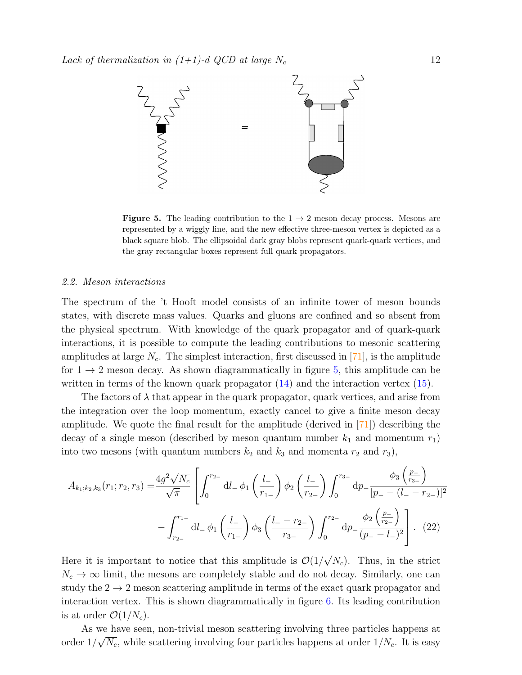

<span id="page-11-1"></span>**Figure 5.** The leading contribution to the  $1 \rightarrow 2$  meson decay process. Mesons are represented by a wiggly line, and the new effective three-meson vertex is depicted as a black square blob. The ellipsoidal dark gray blobs represent quark-quark vertices, and the gray rectangular boxes represent full quark propagators.

### <span id="page-11-0"></span>2.2. Meson interactions

The spectrum of the 't Hooft model consists of an infinite tower of meson bounds states, with discrete mass values. Quarks and gluons are confined and so absent from the physical spectrum. With knowledge of the quark propagator and of quark-quark interactions, it is possible to compute the leading contributions to mesonic scattering amplitudes at large  $N_c$ . The simplest interaction, first discussed in [\[71\]](#page-29-13), is the amplitude for  $1 \rightarrow 2$  meson decay. As shown diagrammatically in figure [5,](#page-11-1) this amplitude can be written in terms of the known quark propagator [\(14\)](#page-9-4) and the interaction vertex [\(15\)](#page-9-5).

The factors of  $\lambda$  that appear in the quark propagator, quark vertices, and arise from the integration over the loop momentum, exactly cancel to give a finite meson decay amplitude. We quote the final result for the amplitude (derived in  $|71|$ ) describing the decay of a single meson (described by meson quantum number  $k_1$  and momentum  $r_1$ ) into two mesons (with quantum numbers  $k_2$  and  $k_3$  and momenta  $r_2$  and  $r_3$ ),

$$
A_{k_1;k_2,k_3}(r_1;r_2,r_3) = \frac{4g^2\sqrt{N_c}}{\sqrt{\pi}} \left[ \int_0^{r_2} dl_- \phi_1 \left( \frac{l_-}{r_{1-}} \right) \phi_2 \left( \frac{l_-}{r_{2-}} \right) \int_0^{r_3} dp_- \frac{\phi_3 \left( \frac{p_-}{r_{3-}} \right)}{[p_- - (l_- - r_{2-})]^2} - \int_{r_{2-}}^{r_{1-}} dl_- \phi_1 \left( \frac{l_-}{r_{1-}} \right) \phi_3 \left( \frac{l_- - r_{2-}}{r_{3-}} \right) \int_0^{r_{2-}} dp_- \frac{\phi_2 \left( \frac{p_-}{r_{2-}} \right)}{(p_- - l_-)^2} \right]. \tag{22}
$$

Here it is important to notice that this amplitude is  $\mathcal{O}(1)$ √  $\overline{N_c}$ ). Thus, in the strict  $N_c \rightarrow \infty$  limit, the mesons are completely stable and do not decay. Similarly, one can study the  $2 \rightarrow 2$  meson scattering amplitude in terms of the exact quark propagator and interaction vertex. This is shown diagrammatically in figure [6.](#page-12-1) Its leading contribution is at order  $\mathcal{O}(1/N_c)$ .

As we have seen, non-trivial meson scattering involving three particles happens at order  $1/\sqrt{N_c}$ , while scattering involving four particles happens at order  $1/N_c$ . It is easy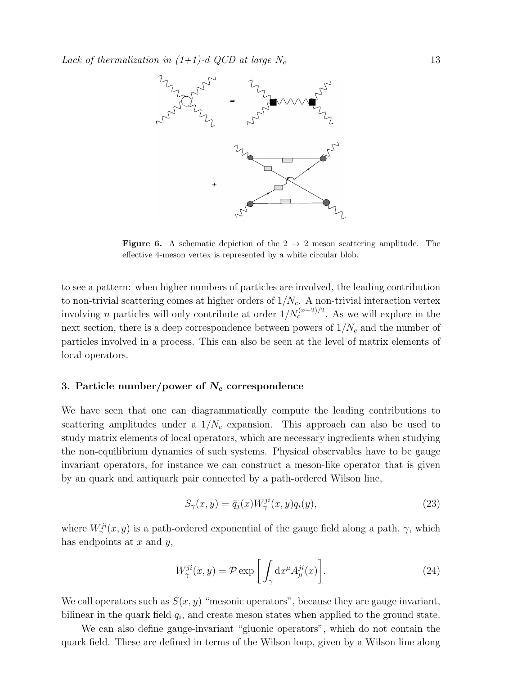

<span id="page-12-1"></span>**Figure 6.** A schematic depiction of the  $2 \rightarrow 2$  meson scattering amplitude. The effective 4-meson vertex is represented by a white circular blob.

to see a pattern: when higher numbers of particles are involved, the leading contribution to non-trivial scattering comes at higher orders of  $1/N_c$ . A non-trivial interaction vertex involving *n* particles will only contribute at order  $1/N_c^{(n-2)/2}$ . As we will explore in the next section, there is a deep correspondence between powers of  $1/N_c$  and the number of particles involved in a process. This can also be seen at the level of matrix elements of local operators.

#### <span id="page-12-0"></span>3. Particle number/power of  $N_c$  correspondence

We have seen that one can diagrammatically compute the leading contributions to scattering amplitudes under a  $1/N_c$  expansion. This approach can also be used to study matrix elements of local operators, which are necessary ingredients when studying the non-equilibrium dynamics of such systems. Physical observables have to be gauge invariant operators, for instance we can construct a meson-like operator that is given by an quark and antiquark pair connected by a path-ordered Wilson line,

$$
S_{\gamma}(x,y) = \bar{q}_j(x)W_{\gamma}^{ji}(x,y)q_i(y),\tag{23}
$$

where  $W^{ji}_{\gamma}(x, y)$  is a path-ordered exponential of the gauge field along a path,  $\gamma$ , which has endpoints at  $x$  and  $y$ ,

$$
W_{\gamma}^{ji}(x,y) = \mathcal{P} \exp\left[\int_{\gamma} \mathrm{d}x^{\mu} A_{\mu}^{ji}(x)\right]. \tag{24}
$$

We call operators such as  $S(x, y)$  "mesonic operators", because they are gauge invariant, bilinear in the quark field  $q_i$ , and create meson states when applied to the ground state.

We can also define gauge-invariant "gluonic operators", which do not contain the quark field. These are defined in terms of the Wilson loop, given by a Wilson line along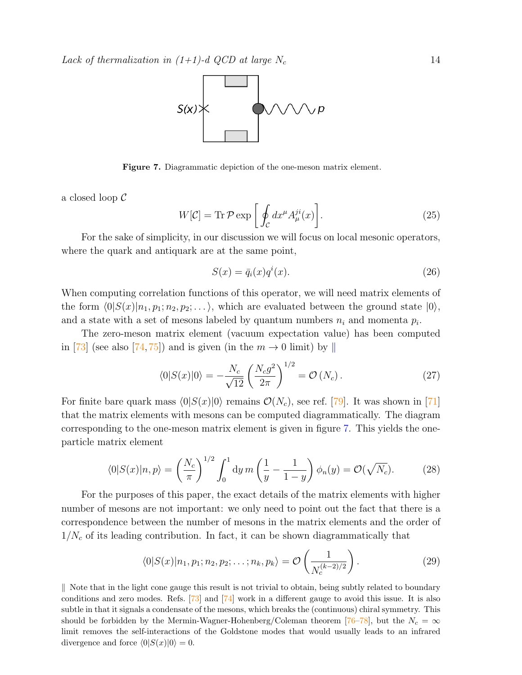

<span id="page-13-1"></span>Figure 7. Diagrammatic depiction of the one-meson matrix element.

a closed loop C

$$
W[\mathcal{C}] = \text{Tr}\,\mathcal{P}\exp\left[\oint_{\mathcal{C}} dx^{\mu} A_{\mu}^{ji}(x)\right].\tag{25}
$$

For the sake of simplicity, in our discussion we will focus on local mesonic operators, where the quark and antiquark are at the same point,

<span id="page-13-3"></span>
$$
S(x) = \bar{q}_i(x)q^i(x). \tag{26}
$$

When computing correlation functions of this operator, we will need matrix elements of the form  $\langle 0|S(x)|n_1, p_1; n_2, p_2; \ldots \rangle$ , which are evaluated between the ground state  $|0\rangle$ , and a state with a set of mesons labeled by quantum numbers  $n_i$  and momenta  $p_i$ .

The zero-meson matrix element (vacuum expectation value) has been computed in [\[73\]](#page-29-15) (see also [\[74,](#page-29-16) [75\]](#page-29-17)) and is given (in the  $m \to 0$  limit) by ||

<span id="page-13-4"></span>
$$
\langle 0|S(x)|0\rangle = -\frac{N_c}{\sqrt{12}} \left(\frac{N_c g^2}{2\pi}\right)^{1/2} = \mathcal{O}\left(N_c\right). \tag{27}
$$

For finite bare quark mass  $\langle 0|S(x)|0\rangle$  remains  $\mathcal{O}(N_c)$ , see ref. [\[79\]](#page-29-18). It was shown in [\[71\]](#page-29-13) that the matrix elements with mesons can be computed diagrammatically. The diagram corresponding to the one-meson matrix element is given in figure [7.](#page-13-1) This yields the oneparticle matrix element

$$
\langle 0|S(x)|n,p\rangle = \left(\frac{N_c}{\pi}\right)^{1/2} \int_0^1 \mathrm{d}y \, m\left(\frac{1}{y} - \frac{1}{1-y}\right) \phi_n(y) = \mathcal{O}(\sqrt{N_c}).\tag{28}
$$

For the purposes of this paper, the exact details of the matrix elements with higher number of mesons are not important: we only need to point out the fact that there is a correspondence between the number of mesons in the matrix elements and the order of  $1/N_c$  of its leading contribution. In fact, it can be shown diagrammatically that

<span id="page-13-2"></span>
$$
\langle 0|S(x)|n_1, p_1; n_2, p_2; \dots; n_k, p_k \rangle = \mathcal{O}\left(\frac{1}{N_c^{(k-2)/2}}\right). \tag{29}
$$

<span id="page-13-0"></span>K Note that in the light cone gauge this result is not trivial to obtain, being subtly related to boundary conditions and zero modes. Refs. [\[73\]](#page-29-15) and [\[74\]](#page-29-16) work in a different gauge to avoid this issue. It is also subtle in that it signals a condensate of the mesons, which breaks the (continuous) chiral symmetry. This should be forbidden by the Mermin-Wagner-Hohenberg/Coleman theorem [\[76–](#page-29-19)[78\]](#page-29-20), but the  $N_c = \infty$ limit removes the self-interactions of the Goldstone modes that would usually leads to an infrared divergence and force  $\langle 0|S(x)|0 \rangle = 0$ .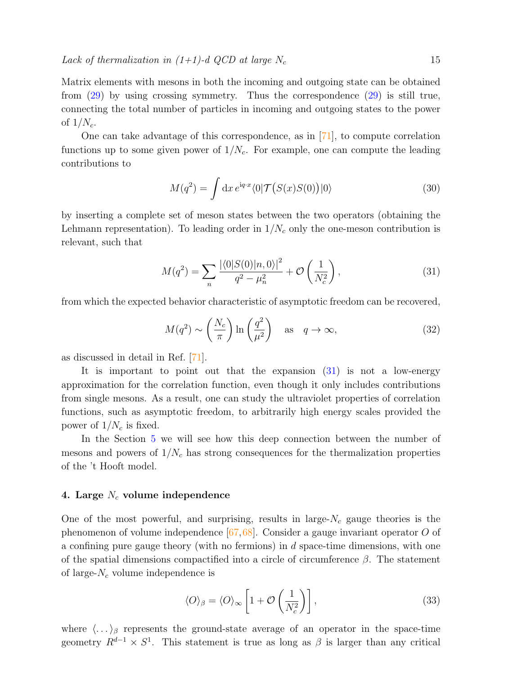Matrix elements with mesons in both the incoming and outgoing state can be obtained from [\(29\)](#page-13-2) by using crossing symmetry. Thus the correspondence [\(29\)](#page-13-2) is still true, connecting the total number of particles in incoming and outgoing states to the power of  $1/N_c$ .

One can take advantage of this correspondence, as in [\[71\]](#page-29-13), to compute correlation functions up to some given power of  $1/N_c$ . For example, one can compute the leading contributions to

$$
M(q^2) = \int \mathrm{d}x \, e^{\mathrm{i}q \cdot x} \langle 0 | \mathcal{T} \big( S(x) S(0) \big) | 0 \rangle \tag{30}
$$

by inserting a complete set of meson states between the two operators (obtaining the Lehmann representation). To leading order in  $1/N_c$  only the one-meson contribution is relevant, such that

<span id="page-14-1"></span>
$$
M(q^2) = \sum_{n} \frac{|\langle 0|S(0)|n,0\rangle|^2}{q^2 - \mu_n^2} + \mathcal{O}\left(\frac{1}{N_c^2}\right),\tag{31}
$$

from which the expected behavior characteristic of asymptotic freedom can be recovered,

$$
M(q^2) \sim \left(\frac{N_c}{\pi}\right) \ln\left(\frac{q^2}{\mu^2}\right)
$$
 as  $q \to \infty$ , (32)

as discussed in detail in Ref. [\[71\]](#page-29-13).

It is important to point out that the expansion [\(31\)](#page-14-1) is not a low-energy approximation for the correlation function, even though it only includes contributions from single mesons. As a result, one can study the ultraviolet properties of correlation functions, such as asymptotic freedom, to arbitrarily high energy scales provided the power of  $1/N_c$  is fixed.

In the Section [5](#page-18-0) we will see how this deep connection between the number of mesons and powers of  $1/N_c$  has strong consequences for the thermalization properties of the 't Hooft model.

# <span id="page-14-0"></span>4. Large  $N_c$  volume independence

One of the most powerful, and surprising, results in large- $N_c$  gauge theories is the phenomenon of volume independence  $[67, 68]$  $[67, 68]$  $[67, 68]$ . Consider a gauge invariant operator O of a confining pure gauge theory (with no fermions) in  $d$  space-time dimensions, with one of the spatial dimensions compactified into a circle of circumference  $\beta$ . The statement of large- $N_c$  volume independence is

$$
\langle O \rangle_{\beta} = \langle O \rangle_{\infty} \left[ 1 + \mathcal{O} \left( \frac{1}{N_c^2} \right) \right], \tag{33}
$$

where  $\langle \ldots \rangle_{\beta}$  represents the ground-state average of an operator in the space-time geometry  $R^{d-1} \times S^1$ . This statement is true as long as  $\beta$  is larger than any critical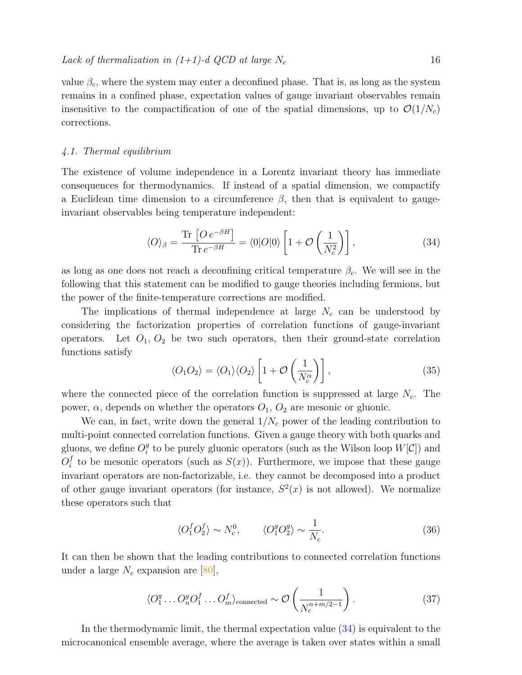value  $\beta_c$ , where the system may enter a deconfined phase. That is, as long as the system remains in a confined phase, expectation values of gauge invariant observables remain insensitive to the compactification of one of the spatial dimensions, up to  $\mathcal{O}(1/N_c)$ corrections.

# 4.1. Thermal equilibrium

The existence of volume independence in a Lorentz invariant theory has immediate consequences for thermodynamics. If instead of a spatial dimension, we compactify a Euclidean time dimension to a circumference  $\beta$ , then that is equivalent to gaugeinvariant observables being temperature independent:

<span id="page-15-0"></span>
$$
\langle O \rangle_{\beta} = \frac{\text{Tr}\left[O e^{-\beta H}\right]}{\text{Tr} \, e^{-\beta H}} = \langle 0|O|0 \rangle \left[1 + \mathcal{O}\left(\frac{1}{N_c^2}\right)\right],\tag{34}
$$

as long as one does not reach a deconfining critical temperature  $\beta_c$ . We will see in the following that this statement can be modified to gauge theories including fermions, but the power of the finite-temperature corrections are modified.

The implications of thermal independence at large  $N_c$  can be understood by considering the factorization properties of correlation functions of gauge-invariant operators. Let  $O_1$ ,  $O_2$  be two such operators, then their ground-state correlation functions satisfy

<span id="page-15-1"></span>
$$
\langle O_1 O_2 \rangle = \langle O_1 \rangle \langle O_2 \rangle \left[ 1 + \mathcal{O} \left( \frac{1}{N_c^{\alpha}} \right) \right], \tag{35}
$$

where the connected piece of the correlation function is suppressed at large  $N_c$ . The power,  $\alpha$ , depends on whether the operators  $O_1$ ,  $O_2$  are mesonic or gluonic.

We can, in fact, write down the general  $1/N_c$  power of the leading contribution to multi-point connected correlation functions. Given a gauge theory with both quarks and gluons, we define  $O_i^g$  $_i^g$  to be purely gluonic operators (such as the Wilson loop  $W[\mathcal{C}]$ ) and  $O_i^f$  $i<sub>i</sub>$  to be mesonic operators (such as  $S(x)$ ). Furthermore, we impose that these gauge invariant operators are non-factorizable, i.e. they cannot be decomposed into a product of other gauge invariant operators (for instance,  $S^2(x)$  is not allowed). We normalize these operators such that

$$
\langle O_1^f O_2^f \rangle \sim N_c^0, \qquad \langle O_1^g O_2^g \rangle \sim \frac{1}{N_c}.
$$
\n(36)

It can then be shown that the leading contributions to connected correlation functions under a large  $N_c$  expansion are [\[80\]](#page-29-21),

$$
\langle O_1^g \dots O_n^g O_1^f \dots O_m^f \rangle_{\text{connected}} \sim \mathcal{O}\left(\frac{1}{N_c^{n+m/2-1}}\right). \tag{37}
$$

In the thermodynamic limit, the thermal expectation value [\(34\)](#page-15-0) is equivalent to the microcanonical ensemble average, where the average is taken over states within a small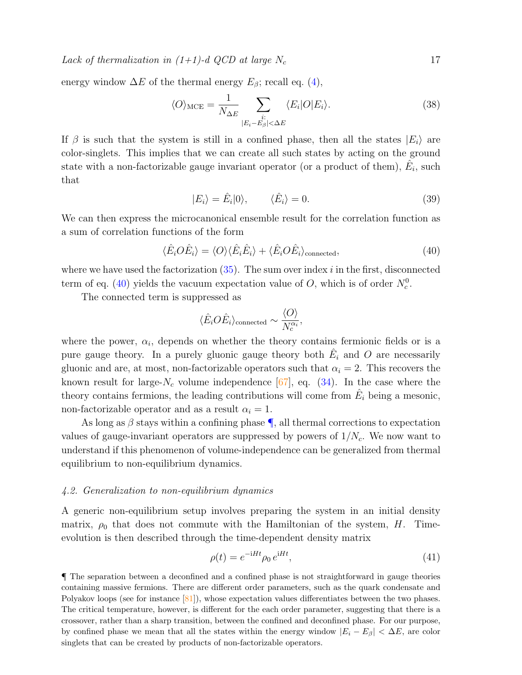energy window  $\Delta E$  of the thermal energy  $E_\beta$ ; recall eq. [\(4\)](#page-3-0),

$$
\langle O \rangle_{\text{MCE}} = \frac{1}{N_{\Delta E}} \sum_{\substack{i: \\ |E_i - E_{\beta}| < \Delta E}} \langle E_i | O | E_i \rangle. \tag{38}
$$

If  $\beta$  is such that the system is still in a confined phase, then all the states  $|E_i\rangle$  are color-singlets. This implies that we can create all such states by acting on the ground state with a non-factorizable gauge invariant operator (or a product of them),  $\hat{E}_i$ , such that

$$
|E_i\rangle = \hat{E}_i|0\rangle, \qquad \langle \hat{E}_i\rangle = 0. \tag{39}
$$

We can then express the microcanonical ensemble result for the correlation function as a sum of correlation functions of the form

$$
\langle \hat{E}_i O \hat{E}_i \rangle = \langle O \rangle \langle \hat{E}_i \hat{E}_i \rangle + \langle \hat{E}_i O \hat{E}_i \rangle_{\text{connected}}, \tag{40}
$$

where we have used the factorization  $(35)$ . The sum over index i in the first, disconnected term of eq. [\(40\)](#page-16-0) yields the vacuum expectation value of O, which is of order  $N_c^0$ .

The connected term is suppressed as

<span id="page-16-0"></span>
$$
\langle \hat{E}_i O \hat{E}_i \rangle_{\text{connected}} \sim \frac{\langle O \rangle}{N_c^{\alpha_i}},
$$

where the power,  $\alpha_i$ , depends on whether the theory contains fermionic fields or is a pure gauge theory. In a purely gluonic gauge theory both  $\hat{E}_i$  and O are necessarily gluonic and are, at most, non-factorizable operators such that  $\alpha_i = 2$ . This recovers the known result for large- $N_c$  volume independence [\[67\]](#page-29-9), eq. [\(34\)](#page-15-0). In the case where the theory contains fermions, the leading contributions will come from  $\hat{E}_i$  being a mesonic, non-factorizable operator and as a result  $\alpha_i = 1$ .

As long as  $\beta$  stays within a confining phase  $\P$ , all thermal corrections to expectation values of gauge-invariant operators are suppressed by powers of  $1/N_c$ . We now want to understand if this phenomenon of volume-independence can be generalized from thermal equilibrium to non-equilibrium dynamics.

#### 4.2. Generalization to non-equilibrium dynamics

A generic non-equilibrium setup involves preparing the system in an initial density matrix,  $\rho_0$  that does not commute with the Hamiltonian of the system, H. Timeevolution is then described through the time-dependent density matrix

$$
\rho(t) = e^{-iHt}\rho_0 e^{iHt},\qquad(41)
$$

<span id="page-16-1"></span>¶ The separation between a deconfined and a confined phase is not straightforward in gauge theories containing massive fermions. There are different order parameters, such as the quark condensate and Polyakov loops (see for instance [\[81\]](#page-30-0)), whose expectation values differentiates between the two phases. The critical temperature, however, is different for the each order parameter, suggesting that there is a crossover, rather than a sharp transition, between the confined and deconfined phase. For our purpose, by confined phase we mean that all the states within the energy window  $|E_i - E_\beta| < \Delta E$ , are color singlets that can be created by products of non-factorizable operators.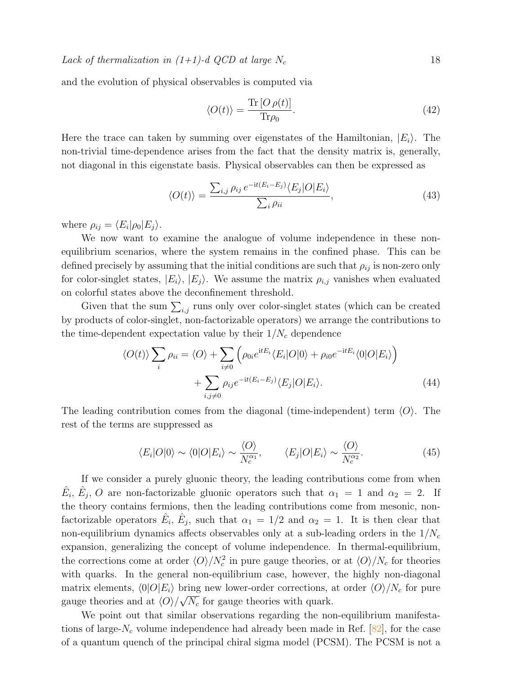and the evolution of physical observables is computed via

$$
\langle O(t) \rangle = \frac{\text{Tr}\left[ O \rho(t) \right]}{\text{Tr}\rho_0}.
$$
\n(42)

Here the trace can taken by summing over eigenstates of the Hamiltonian,  $|E_i\rangle$ . The non-trivial time-dependence arises from the fact that the density matrix is, generally, not diagonal in this eigenstate basis. Physical observables can then be expressed as

$$
\langle O(t) \rangle = \frac{\sum_{i,j} \rho_{ij} e^{-it(E_i - E_j)} \langle E_j | O | E_i \rangle}{\sum_i \rho_{ii}}, \qquad (43)
$$

where  $\rho_{ij} = \langle E_i | \rho_0 | E_j \rangle$ .

We now want to examine the analogue of volume independence in these nonequilibrium scenarios, where the system remains in the confined phase. This can be defined precisely by assuming that the initial conditions are such that  $\rho_{ij}$  is non-zero only for color-singlet states,  $|E_i\rangle$ ,  $|E_j\rangle$ . We assume the matrix  $\rho_{i,j}$  vanishes when evaluated on colorful states above the deconfinement threshold.

Given that the sum  $\sum_{i,j}$  runs only over color-singlet states (which can be created by products of color-singlet, non-factorizable operators) we arrange the contributions to the time-dependent expectation value by their  $1/N_c$  dependence

$$
\langle O(t) \rangle \sum_{i} \rho_{ii} = \langle O \rangle + \sum_{i \neq 0} \left( \rho_{0i} e^{itE_i} \langle E_i | O | 0 \rangle + \rho_{i0} e^{-itE_i} \langle 0 | O | E_i \rangle \right) + \sum_{i,j \neq 0} \rho_{ij} e^{-it(E_i - E_j)} \langle E_j | O | E_i \rangle.
$$
 (44)

The leading contribution comes from the diagonal (time-independent) term  $\langle O \rangle$ . The rest of the terms are suppressed as

<span id="page-17-0"></span>
$$
\langle E_i|O|0\rangle \sim \langle 0|O|E_i\rangle \sim \frac{\langle O\rangle}{N_c^{\alpha_1}}, \qquad \langle E_j|O|E_i\rangle \sim \frac{\langle O\rangle}{N_c^{\alpha_2}}.
$$
\n(45)

If we consider a purely gluonic theory, the leading contributions come from when  $\hat{E}_i$ ,  $\hat{E}_j$ , O are non-factorizable gluonic operators such that  $\alpha_1 = 1$  and  $\alpha_2 = 2$ . If the theory contains fermions, then the leading contributions come from mesonic, nonfactorizable operators  $\hat{E}_i$ ,  $\hat{E}_j$ , such that  $\alpha_1 = 1/2$  and  $\alpha_2 = 1$ . It is then clear that non-equilibrium dynamics affects observables only at a sub-leading orders in the  $1/N_c$ expansion, generalizing the concept of volume independence. In thermal-equilibrium, the corrections come at order  $\langle O \rangle / N_c^2$  in pure gauge theories, or at  $\langle O \rangle / N_c$  for theories with quarks. In the general non-equilibrium case, however, the highly non-diagonal matrix elements,  $\langle 0|O|E_i\rangle$  bring new lower-order corrections, at order  $\langle O\rangle/N_c$  for pure gauge theories and at  $\langle O \rangle / \sqrt{N_c}$  for gauge theories with quark.

We point out that similar observations regarding the non-equilibrium manifestations of large- $N_c$  volume independence had already been made in Ref. [\[82\]](#page-30-1), for the case of a quantum quench of the principal chiral sigma model (PCSM). The PCSM is not a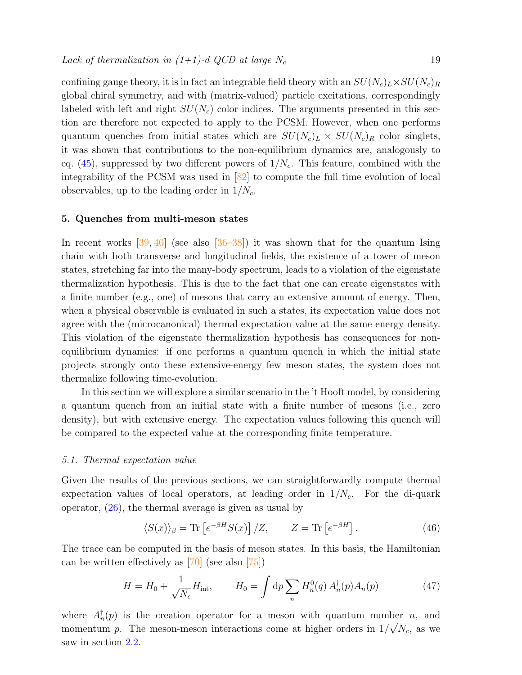confining gauge theory, it is in fact an integrable field theory with an  $SU(N_c)_L \times SU(N_c)_R$ global chiral symmetry, and with (matrix-valued) particle excitations, correspondingly labeled with left and right  $SU(N_c)$  color indices. The arguments presented in this section are therefore not expected to apply to the PCSM. However, when one performs quantum quenches from initial states which are  $SU(N_c)_L \times SU(N_c)_R$  color singlets, it was shown that contributions to the non-equilibrium dynamics are, analogously to eq.  $(45)$ , suppressed by two different powers of  $1/N_c$ . This feature, combined with the integrability of the PCSM was used in [\[82\]](#page-30-1) to compute the full time evolution of local observables, up to the leading order in  $1/N_c$ .

#### <span id="page-18-0"></span>5. Quenches from multi-meson states

In recent works  $[39, 40]$  $[39, 40]$  $[39, 40]$  (see also  $[36–38]$  $[36–38]$ ) it was shown that for the quantum Ising chain with both transverse and longitudinal fields, the existence of a tower of meson states, stretching far into the many-body spectrum, leads to a violation of the eigenstate thermalization hypothesis. This is due to the fact that one can create eigenstates with a finite number (e.g., one) of mesons that carry an extensive amount of energy. Then, when a physical observable is evaluated in such a states, its expectation value does not agree with the (microcanonical) thermal expectation value at the same energy density. This violation of the eigenstate thermalization hypothesis has consequences for nonequilibrium dynamics: if one performs a quantum quench in which the initial state projects strongly onto these extensive-energy few meson states, the system does not thermalize following time-evolution.

In this section we will explore a similar scenario in the 't Hooft model, by considering a quantum quench from an initial state with a finite number of mesons (i.e., zero density), but with extensive energy. The expectation values following this quench will be compared to the expected value at the corresponding finite temperature.

#### 5.1. Thermal expectation value

Given the results of the previous sections, we can straightforwardly compute thermal expectation values of local operators, at leading order in  $1/N_c$ . For the di-quark operator, [\(26\)](#page-13-3), the thermal average is given as usual by

$$
\langle S(x) \rangle_{\beta} = \text{Tr} \left[ e^{-\beta H} S(x) \right] / Z, \qquad Z = \text{Tr} \left[ e^{-\beta H} \right]. \tag{46}
$$

The trace can be computed in the basis of meson states. In this basis, the Hamiltonian can be written effectively as [\[70\]](#page-29-12) (see also [\[75\]](#page-29-17))

<span id="page-18-1"></span>
$$
H = H_0 + \frac{1}{\sqrt{N_c}} H_{\text{int}}, \qquad H_0 = \int dp \sum_n H_n^0(q) A_n^{\dagger}(p) A_n(p) \tag{47}
$$

where  $A_n^{\dagger}(p)$  is the creation operator for a meson with quantum number *n*, and momentum p. The meson-meson interactions come at higher orders in  $1/\sqrt{N_c}$ , as we saw in section [2.2.](#page-11-0)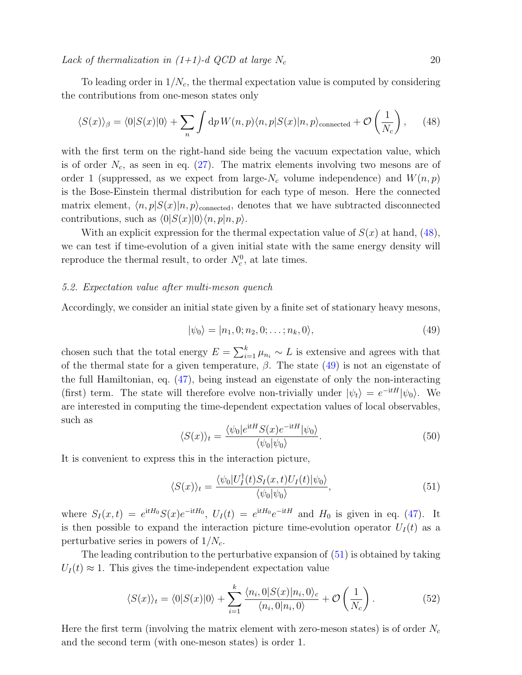To leading order in  $1/N_c$ , the thermal expectation value is computed by considering the contributions from one-meson states only

<span id="page-19-0"></span>
$$
\langle S(x) \rangle_{\beta} = \langle 0 | S(x) | 0 \rangle + \sum_{n} \int \mathrm{d}p \, W(n, p) \langle n, p | S(x) | n, p \rangle_{\text{connected}} + \mathcal{O}\left(\frac{1}{N_c}\right), \tag{48}
$$

with the first term on the right-hand side being the vacuum expectation value, which is of order  $N_c$ , as seen in eq. [\(27\)](#page-13-4). The matrix elements involving two mesons are of order 1 (suppressed, as we expect from large- $N_c$  volume independence) and  $W(n, p)$ is the Bose-Einstein thermal distribution for each type of meson. Here the connected matrix element,  $\langle n, p|S(x)|n, p\rangle$ <sub>connected</sub>, denotes that we have subtracted disconnected contributions, such as  $\langle 0|S(x)|0\rangle\langle n, p|n, p\rangle$ .

With an explicit expression for the thermal expectation value of  $S(x)$  at hand, [\(48\)](#page-19-0), we can test if time-evolution of a given initial state with the same energy density will reproduce the thermal result, to order  $N_c^0$ , at late times.

#### 5.2. Expectation value after multi-meson quench

Accordingly, we consider an initial state given by a finite set of stationary heavy mesons,

<span id="page-19-1"></span>
$$
|\psi_0\rangle = |n_1, 0; n_2, 0; \dots; n_k, 0\rangle, \tag{49}
$$

chosen such that the total energy  $E = \sum_{i=1}^{k} \mu_{n_i} \sim L$  is extensive and agrees with that of the thermal state for a given temperature,  $\beta$ . The state [\(49\)](#page-19-1) is not an eigenstate of the full Hamiltonian, eq. [\(47\)](#page-18-1), being instead an eigenstate of only the non-interacting (first) term. The state will therefore evolve non-trivially under  $|\psi_t\rangle = e^{-itH}|\psi_0\rangle$ . We are interested in computing the time-dependent expectation values of local observables, such as

$$
\langle S(x) \rangle_t = \frac{\langle \psi_0 | e^{itH} S(x) e^{-itH} | \psi_0 \rangle}{\langle \psi_0 | \psi_0 \rangle}.
$$
\n(50)

It is convenient to express this in the interaction picture,

<span id="page-19-2"></span>
$$
\langle S(x) \rangle_t = \frac{\langle \psi_0 | U_I^{\dagger}(t) S_I(x, t) U_I(t) | \psi_0 \rangle}{\langle \psi_0 | \psi_0 \rangle}, \tag{51}
$$

where  $S_I(x,t) = e^{itH_0} S(x) e^{-itH_0}$ ,  $U_I(t) = e^{itH_0} e^{-itH}$  and  $H_0$  is given in eq. [\(47\)](#page-18-1). It is then possible to expand the interaction picture time-evolution operator  $U_I(t)$  as a perturbative series in powers of  $1/N_c$ .

The leading contribution to the perturbative expansion of [\(51\)](#page-19-2) is obtained by taking  $U_I(t) \approx 1$ . This gives the time-independent expectation value

<span id="page-19-3"></span>
$$
\langle S(x)\rangle_t = \langle 0|S(x)|0\rangle + \sum_{i=1}^k \frac{\langle n_i, 0|S(x)|n_i, 0\rangle_c}{\langle n_i, 0|n_i, 0\rangle} + \mathcal{O}\left(\frac{1}{N_c}\right). \tag{52}
$$

Here the first term (involving the matrix element with zero-meson states) is of order  $N_c$ and the second term (with one-meson states) is order 1.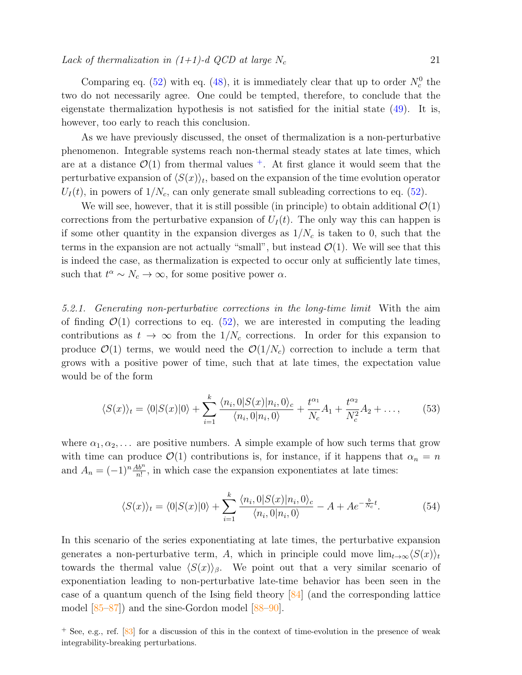Comparing eq. [\(52\)](#page-19-3) with eq. [\(48\)](#page-19-0), it is immediately clear that up to order  $N_c^0$  the two do not necessarily agree. One could be tempted, therefore, to conclude that the eigenstate thermalization hypothesis is not satisfied for the initial state [\(49\)](#page-19-1). It is, however, too early to reach this conclusion.

As we have previously discussed, the onset of thermalization is a non-perturbative phenomenon. Integrable systems reach non-thermal steady states at late times, which are at a distance  $\mathcal{O}(1)$  from thermal values <sup>[+](#page-20-0)</sup>. At first glance it would seem that the perturbative expansion of  $\langle S(x) \rangle_t$ , based on the expansion of the time evolution operator  $U_I(t)$ , in powers of  $1/N_c$ , can only generate small subleading corrections to eq. [\(52\)](#page-19-3).

We will see, however, that it is still possible (in principle) to obtain additional  $\mathcal{O}(1)$ corrections from the perturbative expansion of  $U_I(t)$ . The only way this can happen is if some other quantity in the expansion diverges as  $1/N_c$  is taken to 0, such that the terms in the expansion are not actually "small", but instead  $\mathcal{O}(1)$ . We will see that this is indeed the case, as thermalization is expected to occur only at sufficiently late times, such that  $t^{\alpha} \sim N_c \to \infty$ , for some positive power  $\alpha$ .

5.2.1. Generating non-perturbative corrections in the long-time limit With the aim of finding  $\mathcal{O}(1)$  corrections to eq. [\(52\)](#page-19-3), we are interested in computing the leading contributions as  $t \to \infty$  from the  $1/N_c$  corrections. In order for this expansion to produce  $\mathcal{O}(1)$  terms, we would need the  $\mathcal{O}(1/N_c)$  correction to include a term that grows with a positive power of time, such that at late times, the expectation value would be of the form

<span id="page-20-1"></span>
$$
\langle S(x)\rangle_t = \langle 0|S(x)|0\rangle + \sum_{i=1}^k \frac{\langle n_i, 0|S(x)|n_i, 0\rangle_c}{\langle n_i, 0|n_i, 0\rangle} + \frac{t^{\alpha_1}}{N_c}A_1 + \frac{t^{\alpha_2}}{N_c^2}A_2 + \dots,\tag{53}
$$

where  $\alpha_1, \alpha_2, \ldots$  are positive numbers. A simple example of how such terms that grow with time can produce  $\mathcal{O}(1)$  contributions is, for instance, if it happens that  $\alpha_n = n$ and  $A_n = (-1)^n \frac{Ab^n}{n!}$ , in which case the expansion exponentiates at late times:

<span id="page-20-2"></span>
$$
\langle S(x)\rangle_t = \langle 0|S(x)|0\rangle + \sum_{i=1}^k \frac{\langle n_i, 0|S(x)|n_i, 0\rangle_c}{\langle n_i, 0|n_i, 0\rangle} - A + Ae^{-\frac{b}{N_c}t}.\tag{54}
$$

In this scenario of the series exponentiating at late times, the perturbative expansion generates a non-perturbative term, A, which in principle could move  $\lim_{t\to\infty}$  $\langle S(x)\rangle_t$ towards the thermal value  $\langle S(x)\rangle_{\beta}$ . We point out that a very similar scenario of exponentiation leading to non-perturbative late-time behavior has been seen in the case of a quantum quench of the Ising field theory [\[84\]](#page-30-2) (and the corresponding lattice model [\[85–](#page-30-3)[87\]](#page-30-4)) and the sine-Gordon model [\[88–](#page-30-5)[90\]](#page-30-6).

<span id="page-20-0"></span><sup>+</sup> See, e.g., ref. [\[83\]](#page-30-7) for a discussion of this in the context of time-evolution in the presence of weak integrability-breaking perturbations.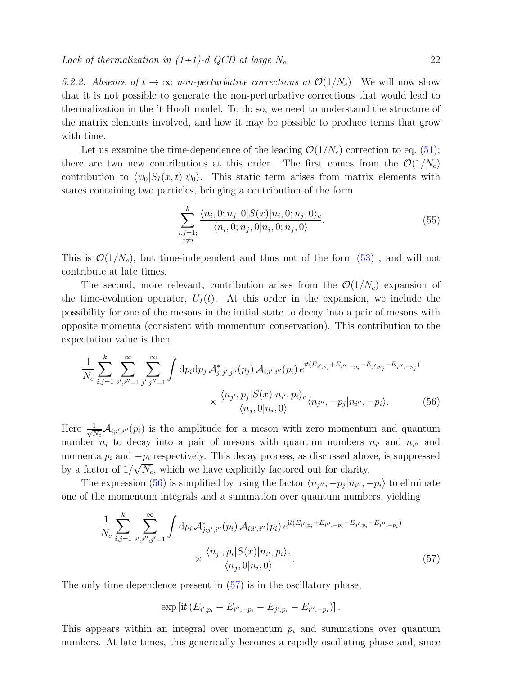5.2.2. Absence of  $t \to \infty$  non-perturbative corrections at  $\mathcal{O}(1/N_c)$  We will now show that it is not possible to generate the non-perturbative corrections that would lead to thermalization in the 't Hooft model. To do so, we need to understand the structure of the matrix elements involved, and how it may be possible to produce terms that grow with time.

Let us examine the time-dependence of the leading  $\mathcal{O}(1/N_c)$  correction to eq. [\(51\)](#page-19-2); there are two new contributions at this order. The first comes from the  $\mathcal{O}(1/N_c)$ contribution to  $\langle \psi_0|S_I(x,t)|\psi_0\rangle$ . This static term arises from matrix elements with states containing two particles, bringing a contribution of the form

<span id="page-21-0"></span>
$$
\sum_{\substack{i,j=1;\\j\neq i}}^{k} \frac{\langle n_i, 0; n_j, 0 | S(x) | n_i, 0; n_j, 0 \rangle_c}{\langle n_i, 0; n_j, 0 | n_i, 0; n_j, 0 \rangle}.
$$
\n(55)

This is  $\mathcal{O}(1/N_c)$ , but time-independent and thus not of the form [\(53\)](#page-20-1), and will not contribute at late times.

The second, more relevant, contribution arises from the  $\mathcal{O}(1/N_c)$  expansion of the time-evolution operator,  $U_I(t)$ . At this order in the expansion, we include the possibility for one of the mesons in the initial state to decay into a pair of mesons with opposite momenta (consistent with momentum conservation). This contribution to the expectation value is then

$$
\frac{1}{N_c} \sum_{i,j=1}^{k} \sum_{i',i''=1}^{\infty} \sum_{j',j''=1}^{\infty} \int dp_i dp_j \mathcal{A}_{j;j',j''}^*(p_j) \mathcal{A}_{i;i',i''}(p_i) e^{it(E_{i',p_i} + E_{i'',-p_i} - E_{j',p_j} - E_{j'',-p_j})} \times \frac{\langle n_{j'}, p_j | S(x) | n_{i'}, p_i \rangle_c}{\langle n_j, 0 | n_i, 0 \rangle} \langle n_{j''}, -p_j | n_{i''}, -p_i \rangle.
$$
 (56)

Here  $\frac{1}{\sqrt{N}}$  $\frac{1}{N_c}A_{i;i';i''}(p_i)$  is the amplitude for a meson with zero momentum and quantum number  $n_i$  to decay into a pair of mesons with quantum numbers  $n_{i'}$  and  $n_{i''}$  and momenta  $p_i$  and  $-p_i$  respectively. This decay process, as discussed above, is suppressed by a factor of  $1/\sqrt{N_c}$ , which we have explicitly factored out for clarity.

The expression [\(56\)](#page-21-0) is simplified by using the factor  $\langle n_{j''}, -p_j | n_{i''}, -p_i \rangle$  to eliminate one of the momentum integrals and a summation over quantum numbers, yielding

$$
\frac{1}{N_c} \sum_{i,j=1}^{k} \sum_{i',i'',j'=1}^{\infty} \int dp_i \mathcal{A}_{j;j',i''}^*(p_i) \mathcal{A}_{i;i',i''}(p_i) e^{it(E_{i',p_i} + E_{i'',-p_i} - E_{j',p_i} - E_{i'',-p_i})} \times \frac{\langle n_{j'}, p_i | S(x) | n_{i'}, p_i \rangle_c}{\langle n_j, 0 | n_i, 0 \rangle}.
$$
\n(57)

The only time dependence present in  $(57)$  is in the oscillatory phase,

<span id="page-21-1"></span>
$$
\exp\left[it\left(E_{i',p_i}+E_{i'',-p_i}-E_{j',p_i}-E_{i'',-p_i}\right)\right].
$$

This appears within an integral over momentum  $p_i$  and summations over quantum numbers. At late times, this generically becomes a rapidly oscillating phase and, since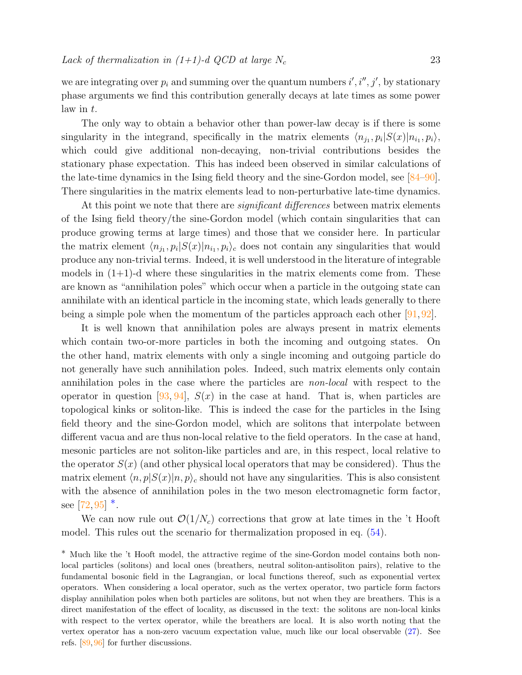we are integrating over  $p_i$  and summing over the quantum numbers  $i', i'', j'$ , by stationary phase arguments we find this contribution generally decays at late times as some power law in t.

The only way to obtain a behavior other than power-law decay is if there is some singularity in the integrand, specifically in the matrix elements  $\langle n_{j_1}, p_i | S(x) | n_{i_1}, p_i \rangle$ , which could give additional non-decaying, non-trivial contributions besides the stationary phase expectation. This has indeed been observed in similar calculations of the late-time dynamics in the Ising field theory and the sine-Gordon model, see [\[84–](#page-30-2)[90\]](#page-30-6). There singularities in the matrix elements lead to non-perturbative late-time dynamics.

At this point we note that there are *significant differences* between matrix elements of the Ising field theory/the sine-Gordon model (which contain singularities that can produce growing terms at large times) and those that we consider here. In particular the matrix element  $\langle n_{j_1}, p_i | S(x) | n_{i_1}, p_i \rangle_c$  does not contain any singularities that would produce any non-trivial terms. Indeed, it is well understood in the literature of integrable models in  $(1+1)$ -d where these singularities in the matrix elements come from. These are known as "annihilation poles" which occur when a particle in the outgoing state can annihilate with an identical particle in the incoming state, which leads generally to there being a simple pole when the momentum of the particles approach each other [\[91,](#page-30-8) [92\]](#page-30-9).

It is well known that annihilation poles are always present in matrix elements which contain two-or-more particles in both the incoming and outgoing states. On the other hand, matrix elements with only a single incoming and outgoing particle do not generally have such annihilation poles. Indeed, such matrix elements only contain annihilation poles in the case where the particles are non-local with respect to the operator in question  $[93, 94]$  $[93, 94]$  $[93, 94]$ ,  $S(x)$  in the case at hand. That is, when particles are topological kinks or soliton-like. This is indeed the case for the particles in the Ising field theory and the sine-Gordon model, which are solitons that interpolate between different vacua and are thus non-local relative to the field operators. In the case at hand, mesonic particles are not soliton-like particles and are, in this respect, local relative to the operator  $S(x)$  (and other physical local operators that may be considered). Thus the matrix element  $\langle n, p|S(x)|n, p\rangle_c$  should not have any singularities. This is also consistent with the absence of annihilation poles in the two meson electromagnetic form factor, see [\[72,](#page-29-14)[95\]](#page-30-12)  $*$ .

We can now rule out  $\mathcal{O}(1/N_c)$  corrections that grow at late times in the 't Hooft model. This rules out the scenario for thermalization proposed in eq. [\(54\)](#page-20-2).

<span id="page-22-0"></span><sup>∗</sup> Much like the 't Hooft model, the attractive regime of the sine-Gordon model contains both nonlocal particles (solitons) and local ones (breathers, neutral soliton-antisoliton pairs), relative to the fundamental bosonic field in the Lagrangian, or local functions thereof, such as exponential vertex operators. When considering a local operator, such as the vertex operator, two particle form factors display annihilation poles when both particles are solitons, but not when they are breathers. This is a direct manifestation of the effect of locality, as discussed in the text: the solitons are non-local kinks with respect to the vertex operator, while the breathers are local. It is also worth noting that the vertex operator has a non-zero vacuum expectation value, much like our local observable [\(27\)](#page-13-4). See refs. [\[89,](#page-30-13) [96\]](#page-30-14) for further discussions.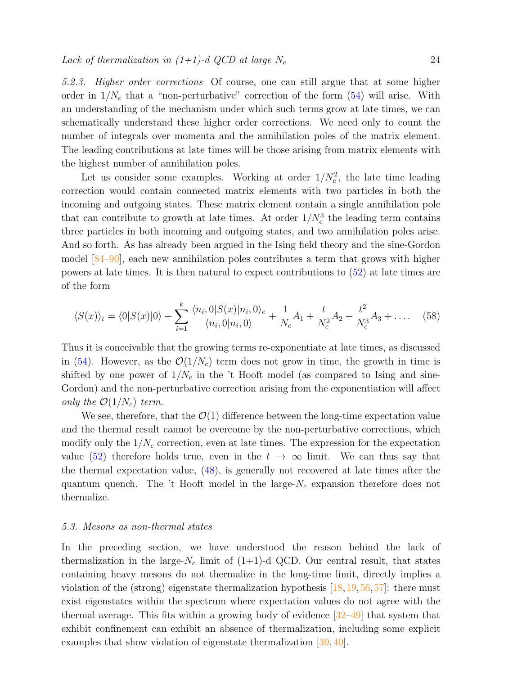5.2.3. Higher order corrections Of course, one can still argue that at some higher order in  $1/N_c$  that a "non-perturbative" correction of the form  $(54)$  will arise. With an understanding of the mechanism under which such terms grow at late times, we can schematically understand these higher order corrections. We need only to count the number of integrals over momenta and the annihilation poles of the matrix element. The leading contributions at late times will be those arising from matrix elements with the highest number of annihilation poles.

Let us consider some examples. Working at order  $1/N_c^2$ , the late time leading correction would contain connected matrix elements with two particles in both the incoming and outgoing states. These matrix element contain a single annihilation pole that can contribute to growth at late times. At order  $1/N_c^3$  the leading term contains three particles in both incoming and outgoing states, and two annihilation poles arise. And so forth. As has already been argued in the Ising field theory and the sine-Gordon model [\[84](#page-30-2)[–90\]](#page-30-6), each new annihilation poles contributes a term that grows with higher powers at late times. It is then natural to expect contributions to [\(52\)](#page-19-3) at late times are of the form

$$
\langle S(x)\rangle_t = \langle 0|S(x)|0\rangle + \sum_{i=1}^k \frac{\langle n_i, 0|S(x)|n_i, 0\rangle_c}{\langle n_i, 0|n_i, 0\rangle} + \frac{1}{N_c}A_1 + \frac{t}{N_c^2}A_2 + \frac{t^2}{N_c^3}A_3 + \dots
$$
 (58)

Thus it is conceivable that the growing terms re-exponentiate at late times, as discussed in [\(54\)](#page-20-2). However, as the  $\mathcal{O}(1/N_c)$  term does not grow in time, the growth in time is shifted by one power of  $1/N_c$  in the 't Hooft model (as compared to Ising and sine-Gordon) and the non-perturbative correction arising from the exponentiation will affect only the  $\mathcal{O}(1/N_c)$  term.

We see, therefore, that the  $\mathcal{O}(1)$  difference between the long-time expectation value and the thermal result cannot be overcome by the non-perturbative corrections, which modify only the  $1/N_c$  correction, even at late times. The expression for the expectation value [\(52\)](#page-19-3) therefore holds true, even in the  $t \to \infty$  limit. We can thus say that the thermal expectation value, [\(48\)](#page-19-0), is generally not recovered at late times after the quantum quench. The 't Hooft model in the large- $N_c$  expansion therefore does not thermalize.

# <span id="page-23-0"></span>5.3. Mesons as non-thermal states

In the preceding section, we have understood the reason behind the lack of thermalization in the large- $N_c$  limit of  $(1+1)$ -d QCD. Our central result, that states containing heavy mesons do not thermalize in the long-time limit, directly implies a violation of the (strong) eigenstate thermalization hypothesis  $[18, 19, 56, 57]$  $[18, 19, 56, 57]$  $[18, 19, 56, 57]$  $[18, 19, 56, 57]$  $[18, 19, 56, 57]$  $[18, 19, 56, 57]$  $[18, 19, 56, 57]$ : there must exist eigenstates within the spectrum where expectation values do not agree with the thermal average. This fits within a growing body of evidence [\[32–](#page-28-8)[49\]](#page-28-17) that system that exhibit confinement can exhibit an absence of thermalization, including some explicit examples that show violation of eigenstate thermalization [\[39,](#page-28-12) [40\]](#page-28-11).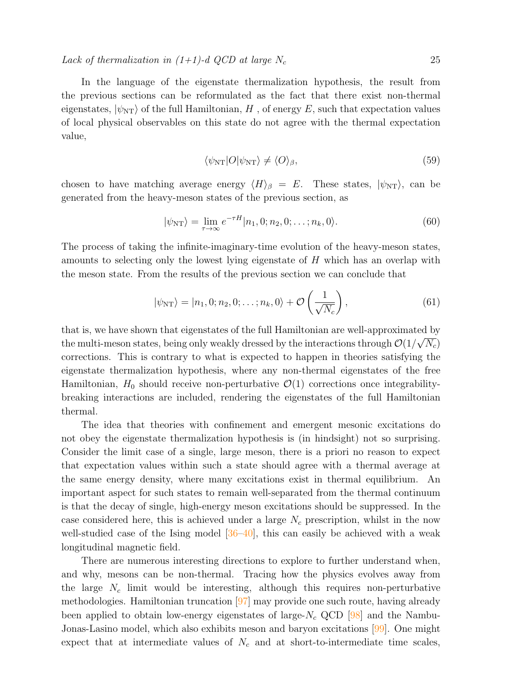In the language of the eigenstate thermalization hypothesis, the result from the previous sections can be reformulated as the fact that there exist non-thermal eigenstates,  $|\psi_{\text{NT}}\rangle$  of the full Hamiltonian, H, of energy E, such that expectation values of local physical observables on this state do not agree with the thermal expectation value,

$$
\langle \psi_{\rm NT}|O|\psi_{\rm NT}\rangle \neq \langle O\rangle_{\beta},\tag{59}
$$

chosen to have matching average energy  $\langle H \rangle_{\beta} = E$ . These states,  $|\psi_{NT}\rangle$ , can be generated from the heavy-meson states of the previous section, as

$$
|\psi_{\rm NT}\rangle = \lim_{\tau \to \infty} e^{-\tau H} |n_1, 0; n_2, 0; \dots; n_k, 0\rangle.
$$
 (60)

The process of taking the infinite-imaginary-time evolution of the heavy-meson states, amounts to selecting only the lowest lying eigenstate of H which has an overlap with the meson state. From the results of the previous section we can conclude that

$$
|\psi_{\rm NT}\rangle = |n_1, 0; n_2, 0; \dots; n_k, 0\rangle + \mathcal{O}\left(\frac{1}{\sqrt{N_c}}\right), \tag{61}
$$

that is, we have shown that eigenstates of the full Hamiltonian are well-approximated by the multi-meson states, being only weakly dressed by the interactions through  $\mathcal{O}(1/\sqrt{N_c})$ corrections. This is contrary to what is expected to happen in theories satisfying the eigenstate thermalization hypothesis, where any non-thermal eigenstates of the free Hamiltonian,  $H_0$  should receive non-perturbative  $\mathcal{O}(1)$  corrections once integrabilitybreaking interactions are included, rendering the eigenstates of the full Hamiltonian thermal.

The idea that theories with confinement and emergent mesonic excitations do not obey the eigenstate thermalization hypothesis is (in hindsight) not so surprising. Consider the limit case of a single, large meson, there is a priori no reason to expect that expectation values within such a state should agree with a thermal average at the same energy density, where many excitations exist in thermal equilibrium. An important aspect for such states to remain well-separated from the thermal continuum is that the decay of single, high-energy meson excitations should be suppressed. In the case considered here, this is achieved under a large  $N_c$  prescription, whilst in the now well-studied case of the Ising model  $[36-40]$  $[36-40]$ , this can easily be achieved with a weak longitudinal magnetic field.

There are numerous interesting directions to explore to further understand when, and why, mesons can be non-thermal. Tracing how the physics evolves away from the large  $N_c$  limit would be interesting, although this requires non-perturbative methodologies. Hamiltonian truncation [\[97\]](#page-30-15) may provide one such route, having already been applied to obtain low-energy eigenstates of large- $N_c$  QCD [\[98\]](#page-30-16) and the Nambu-Jonas-Lasino model, which also exhibits meson and baryon excitations [\[99\]](#page-30-17). One might expect that at intermediate values of  $N_c$  and at short-to-intermediate time scales,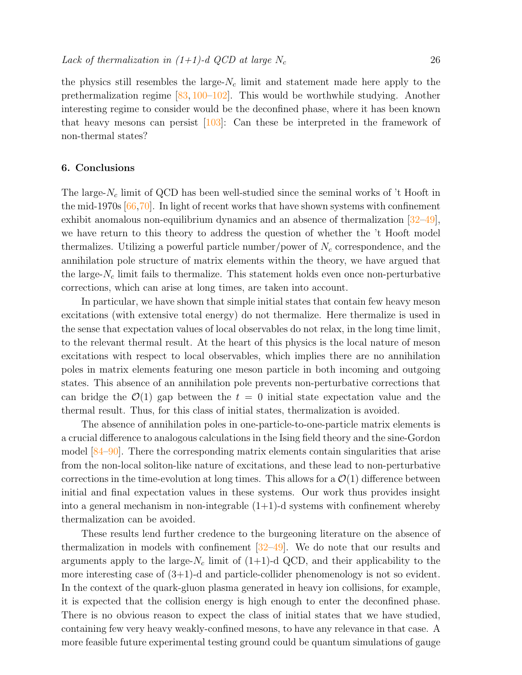the physics still resembles the large- $N_c$  limit and statement made here apply to the prethermalization regime [\[83,](#page-30-7) [100](#page-30-18)[–102\]](#page-30-19). This would be worthwhile studying. Another interesting regime to consider would be the deconfined phase, where it has been known that heavy mesons can persist [\[103\]](#page-30-20): Can these be interpreted in the framework of non-thermal states?

#### <span id="page-25-0"></span>6. Conclusions

The large- $N_c$  limit of QCD has been well-studied since the seminal works of 't Hooft in the mid-1970s  $[66,70]$  $[66,70]$ . In light of recent works that have shown systems with confinement exhibit anomalous non-equilibrium dynamics and an absence of thermalization  $[32-49]$  $[32-49]$ , we have return to this theory to address the question of whether the 't Hooft model thermalizes. Utilizing a powerful particle number/power of  $N_c$  correspondence, and the annihilation pole structure of matrix elements within the theory, we have argued that the large- $N_c$  limit fails to thermalize. This statement holds even once non-perturbative corrections, which can arise at long times, are taken into account.

In particular, we have shown that simple initial states that contain few heavy meson excitations (with extensive total energy) do not thermalize. Here thermalize is used in the sense that expectation values of local observables do not relax, in the long time limit, to the relevant thermal result. At the heart of this physics is the local nature of meson excitations with respect to local observables, which implies there are no annihilation poles in matrix elements featuring one meson particle in both incoming and outgoing states. This absence of an annihilation pole prevents non-perturbative corrections that can bridge the  $\mathcal{O}(1)$  gap between the  $t = 0$  initial state expectation value and the thermal result. Thus, for this class of initial states, thermalization is avoided.

The absence of annihilation poles in one-particle-to-one-particle matrix elements is a crucial difference to analogous calculations in the Ising field theory and the sine-Gordon model [\[84](#page-30-2)[–90\]](#page-30-6). There the corresponding matrix elements contain singularities that arise from the non-local soliton-like nature of excitations, and these lead to non-perturbative corrections in the time-evolution at long times. This allows for a  $\mathcal{O}(1)$  difference between initial and final expectation values in these systems. Our work thus provides insight into a general mechanism in non-integrable  $(1+1)$ -d systems with confinement whereby thermalization can be avoided.

These results lend further credence to the burgeoning literature on the absence of thermalization in models with confinement  $[32-49]$  $[32-49]$ . We do note that our results and arguments apply to the large- $N_c$  limit of (1+1)-d QCD, and their applicability to the more interesting case of  $(3+1)$ -d and particle-collider phenomenology is not so evident. In the context of the quark-gluon plasma generated in heavy ion collisions, for example, it is expected that the collision energy is high enough to enter the deconfined phase. There is no obvious reason to expect the class of initial states that we have studied, containing few very heavy weakly-confined mesons, to have any relevance in that case. A more feasible future experimental testing ground could be quantum simulations of gauge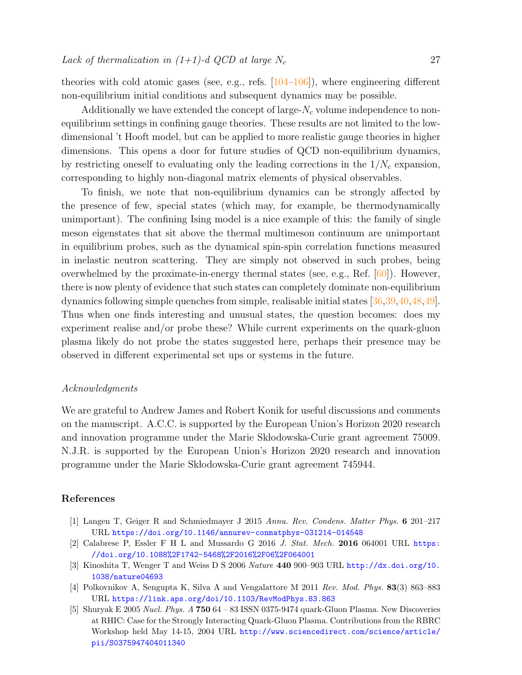theories with cold atomic gases (see, e.g., refs. [\[104](#page-30-21)[–106\]](#page-30-22)), where engineering different non-equilibrium initial conditions and subsequent dynamics may be possible.

Additionally we have extended the concept of large- $N_c$  volume independence to nonequilibrium settings in confining gauge theories. These results are not limited to the lowdimensional 't Hooft model, but can be applied to more realistic gauge theories in higher dimensions. This opens a door for future studies of QCD non-equilibrium dynamics, by restricting oneself to evaluating only the leading corrections in the  $1/N_c$  expansion, corresponding to highly non-diagonal matrix elements of physical observables.

To finish, we note that non-equilibrium dynamics can be strongly affected by the presence of few, special states (which may, for example, be thermodynamically unimportant). The confining Ising model is a nice example of this: the family of single meson eigenstates that sit above the thermal multimeson continuum are unimportant in equilibrium probes, such as the dynamical spin-spin correlation functions measured in inelastic neutron scattering. They are simply not observed in such probes, being overwhelmed by the proximate-in-energy thermal states (see, e.g., Ref.  $[60]$ ). However, there is now plenty of evidence that such states can completely dominate non-equilibrium dynamics following simple quenches from simple, realisable initial states [\[36,](#page-28-10)[39,](#page-28-12)[40,](#page-28-11)[48,](#page-28-16)[49\]](#page-28-17). Thus when one finds interesting and unusual states, the question becomes: does my experiment realise and/or probe these? While current experiments on the quark-gluon plasma likely do not probe the states suggested here, perhaps their presence may be observed in different experimental set ups or systems in the future.

# Acknowledgments

We are grateful to Andrew James and Robert Konik for useful discussions and comments on the manuscript. A.C.C. is supported by the European Union's Horizon 2020 research and innovation programme under the Marie Sk bodowska-Curie grant agreement 75009. N.J.R. is supported by the European Union's Horizon 2020 research and innovation programme under the Marie Sk bodowska-Curie grant agreement 745944.

# References

- <span id="page-26-0"></span>[1] Langen T, Geiger R and Schmiedmayer J 2015 Annu. Rev. Condens. Matter Phys. 6 201–217 URL <https://doi.org/10.1146/annurev-conmatphys-031214-014548>
- <span id="page-26-1"></span>[2] Calabrese P, Essler F H L and Mussardo G 2016  $J.$  Stat. Mech. 2016 064001 URL [https:](https://doi.org/10.1088%2F1742-5468%2F2016%2F06%2F064001) [//doi.org/10.1088%2F1742-5468%2F2016%2F06%2F064001](https://doi.org/10.1088%2F1742-5468%2F2016%2F06%2F064001)
- <span id="page-26-2"></span>[3] Kinoshita T, Wenger T and Weiss D S 2006 Nature 440 900–903 URL [http://dx.doi.org/10.](http://dx.doi.org/10.1038/nature04693) [1038/nature04693](http://dx.doi.org/10.1038/nature04693)
- <span id="page-26-3"></span>[4] Polkovnikov A, Sengupta K, Silva A and Vengalattore M 2011 Rev. Mod. Phys. 83(3) 863–883 URL <https://link.aps.org/doi/10.1103/RevModPhys.83.863>
- <span id="page-26-4"></span>[5] Shuryak E 2005 Nucl. Phys. A 750 64 – 83 ISSN 0375-9474 quark-Gluon Plasma. New Discoveries at RHIC: Case for the Strongly Interacting Quark-Gluon Plasma. Contributions from the RBRC Workshop held May 14-15, 2004 URL [http://www.sciencedirect.com/science/article/](http://www.sciencedirect.com/science/article/pii/S0375947404011340) [pii/S0375947404011340](http://www.sciencedirect.com/science/article/pii/S0375947404011340)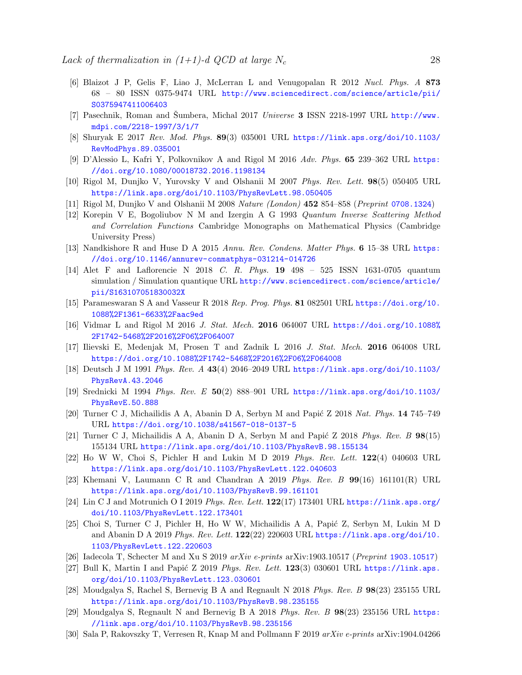- [6] Blaizot J P, Gelis F, Liao J, McLerran L and Venugopalan R 2012 Nucl. Phys. A 873 68 – 80 ISSN 0375-9474 URL [http://www.sciencedirect.com/science/article/pii/](http://www.sciencedirect.com/science/article/pii/S0375947411006403) [S0375947411006403](http://www.sciencedirect.com/science/article/pii/S0375947411006403)
- [7] Pasechnik, Roman and Sumbera, Michal 2017 Universe 3 ISSN 2218-1997 URL [http://www.](http://www.mdpi.com/2218-1997/3/1/7) [mdpi.com/2218-1997/3/1/7](http://www.mdpi.com/2218-1997/3/1/7)
- <span id="page-27-0"></span>[8] Shuryak E 2017 Rev. Mod. Phys. 89(3) 035001 URL [https://link.aps.org/doi/10.1103/](https://link.aps.org/doi/10.1103/RevModPhys.89.035001) [RevModPhys.89.035001](https://link.aps.org/doi/10.1103/RevModPhys.89.035001)
- <span id="page-27-1"></span>[9] D'Alessio L, Kafri Y, Polkovnikov A and Rigol M 2016 Adv. Phys. 65 239–362 URL [https:](https://doi.org/10.1080/00018732.2016.1198134) [//doi.org/10.1080/00018732.2016.1198134](https://doi.org/10.1080/00018732.2016.1198134)
- <span id="page-27-2"></span>[10] Rigol M, Dunjko V, Yurovsky V and Olshanii M 2007 Phys. Rev. Lett. 98(5) 050405 URL <https://link.aps.org/doi/10.1103/PhysRevLett.98.050405>
- <span id="page-27-3"></span>[11] Rigol M, Dunjko V and Olshanii M 2008 Nature (London) 452 854–858 (Preprint <0708.1324>)
- <span id="page-27-4"></span>[12] Korepin V E, Bogoliubov N M and Izergin A G 1993 Quantum Inverse Scattering Method and Correlation Functions Cambridge Monographs on Mathematical Physics (Cambridge University Press)
- <span id="page-27-5"></span>[13] Nandkishore R and Huse D A 2015 Annu. Rev. Condens. Matter Phys. 6 15–38 URL [https:](https://doi.org/10.1146/annurev-conmatphys-031214-014726) [//doi.org/10.1146/annurev-conmatphys-031214-014726](https://doi.org/10.1146/annurev-conmatphys-031214-014726)
- [14] Alet F and Laflorencie N 2018 C. R. Phys. 19 498 525 ISSN 1631-0705 quantum simulation / Simulation quantique URL [http://www.sciencedirect.com/science/article/](http://www.sciencedirect.com/science/article/pii/S163107051830032X) [pii/S163107051830032X](http://www.sciencedirect.com/science/article/pii/S163107051830032X)
- <span id="page-27-6"></span>[15] Parameswaran S A and Vasseur R 2018 Rep. Prog. Phys. 81 082501 URL [https://doi.org/10.](https://doi.org/10.1088%2F1361-6633%2Faac9ed) [1088%2F1361-6633%2Faac9ed](https://doi.org/10.1088%2F1361-6633%2Faac9ed)
- <span id="page-27-7"></span>[16] Vidmar L and Rigol M 2016 J. Stat. Mech. 2016 064007 URL [https://doi.org/10.1088%](https://doi.org/10.1088%2F1742-5468%2F2016%2F06%2F064007) [2F1742-5468%2F2016%2F06%2F064007](https://doi.org/10.1088%2F1742-5468%2F2016%2F06%2F064007)
- <span id="page-27-8"></span>[17] Ilievski E, Medenjak M, Prosen T and Zadnik L 2016 J. Stat. Mech. 2016 064008 URL <https://doi.org/10.1088%2F1742-5468%2F2016%2F06%2F064008>
- <span id="page-27-9"></span>[18] Deutsch J M 1991 Phys. Rev. A 43(4) 2046–2049 URL [https://link.aps.org/doi/10.1103/](https://link.aps.org/doi/10.1103/PhysRevA.43.2046) [PhysRevA.43.2046](https://link.aps.org/doi/10.1103/PhysRevA.43.2046)
- <span id="page-27-10"></span>[19] Srednicki M 1994 Phys. Rev. E 50(2) 888–901 URL [https://link.aps.org/doi/10.1103/](https://link.aps.org/doi/10.1103/PhysRevE.50.888) [PhysRevE.50.888](https://link.aps.org/doi/10.1103/PhysRevE.50.888)
- <span id="page-27-11"></span>[20] Turner C J, Michailidis A A, Abanin D A, Serbyn M and Papić Z 2018 Nat. Phys. 14 745–749 URL <https://doi.org/10.1038/s41567-018-0137-5>
- [21] Turner C J, Michailidis A A, Abanin D A, Serbyn M and Papić Z 2018 Phys. Rev. B  $98(15)$ 155134 URL <https://link.aps.org/doi/10.1103/PhysRevB.98.155134>
- [22] Ho W W, Choi S, Pichler H and Lukin M D 2019 Phys. Rev. Lett. 122(4) 040603 URL <https://link.aps.org/doi/10.1103/PhysRevLett.122.040603>
- [23] Khemani V, Laumann C R and Chandran A 2019 Phys. Rev. B  $99(16)$  161101(R) URL <https://link.aps.org/doi/10.1103/PhysRevB.99.161101>
- [24] Lin C J and Motrunich O I 2019 Phys. Rev. Lett. 122(17) 173401 URL [https://link.aps.org/](https://link.aps.org/doi/10.1103/PhysRevLett.122.173401) [doi/10.1103/PhysRevLett.122.173401](https://link.aps.org/doi/10.1103/PhysRevLett.122.173401)
- [25] Choi S, Turner C J, Pichler H, Ho W W, Michailidis A A, Papić Z, Serbyn M, Lukin M D and Abanin D A 2019 Phys. Rev. Lett. 122(22) 220603 URL [https://link.aps.org/doi/10.](https://link.aps.org/doi/10.1103/PhysRevLett.122.220603) [1103/PhysRevLett.122.220603](https://link.aps.org/doi/10.1103/PhysRevLett.122.220603)
- <span id="page-27-12"></span>[26] Iadecola T, Schecter M and Xu S 2019 arXiv e-prints arXiv:<1903.10517> (Preprint 1903.10517)
- [27] Bull K, Martin I and Papić Z 2019 Phys. Rev. Lett.  $123(3)$  030601 URL [https://link.aps.](https://link.aps.org/doi/10.1103/PhysRevLett.123.030601) [org/doi/10.1103/PhysRevLett.123.030601](https://link.aps.org/doi/10.1103/PhysRevLett.123.030601)
- <span id="page-27-13"></span>[28] Moudgalya S, Rachel S, Bernevig B A and Regnault N 2018 Phys. Rev. B 98(23) 235155 URL <https://link.aps.org/doi/10.1103/PhysRevB.98.235155>
- <span id="page-27-14"></span>[29] Moudgalya S, Regnault N and Bernevig B A 2018 Phys. Rev. B 98(23) 235156 URL [https:](https://link.aps.org/doi/10.1103/PhysRevB.98.235156) [//link.aps.org/doi/10.1103/PhysRevB.98.235156](https://link.aps.org/doi/10.1103/PhysRevB.98.235156)
- <span id="page-27-15"></span>[30] Sala P, Rakovszky T, Verresen R, Knap M and Pollmann F 2019 arXiv e-prints arXiv:1904.04266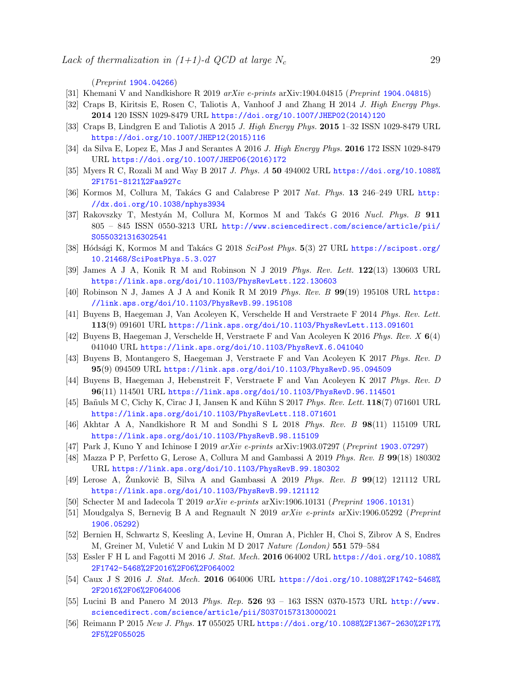(Preprint <1904.04266>)

- <span id="page-28-7"></span>[31] Khemani V and Nandkishore R 2019 arXiv e-prints arXiv:<1904.04815> (Preprint 1904.04815)
- <span id="page-28-8"></span>[32] Craps B, Kiritsis E, Rosen C, Taliotis A, Vanhoof J and Zhang H 2014 J. High Energy Phys. 2014 120 ISSN 1029-8479 URL [https://doi.org/10.1007/JHEP02\(2014\)120](https://doi.org/10.1007/JHEP02(2014)120)
- <span id="page-28-18"></span>[33] Craps B, Lindgren E and Taliotis A 2015 J. High Energy Phys. 2015 1–32 ISSN 1029-8479 URL [https://doi.org/10.1007/JHEP12\(2015\)116](https://doi.org/10.1007/JHEP12(2015)116)
- [34] da Silva E, Lopez E, Mas J and Serantes A 2016 J. High Energy Phys. 2016 172 ISSN 1029-8479 URL [https://doi.org/10.1007/JHEP06\(2016\)172](https://doi.org/10.1007/JHEP06(2016)172)
- <span id="page-28-9"></span>[35] Myers R C, Rozali M and Way B 2017 J. Phys. A 50 494002 URL [https://doi.org/10.1088%](https://doi.org/10.1088%2F1751-8121%2Faa927c) [2F1751-8121%2Faa927c](https://doi.org/10.1088%2F1751-8121%2Faa927c)
- <span id="page-28-10"></span>[36] Kormos M, Collura M, Takács G and Calabrese P 2017 Nat. Phys. 13 246-249 URL [http:](http://dx.doi.org/10.1038/nphys3934) [//dx.doi.org/10.1038/nphys3934](http://dx.doi.org/10.1038/nphys3934)
- <span id="page-28-19"></span>[37] Rakovszky T, Mestyán M, Collura M, Kormos M and Takés G 2016 Nucl. Phys. B 911 805 – 845 ISSN 0550-3213 URL [http://www.sciencedirect.com/science/article/pii/](http://www.sciencedirect.com/science/article/pii/S0550321316302541) [S0550321316302541](http://www.sciencedirect.com/science/article/pii/S0550321316302541)
- <span id="page-28-20"></span>[38] Hódsági K, Kormos M and Takács G 2018 SciPost Phys. 5(3) 27 URL [https://scipost.org/](https://scipost.org/10.21468/SciPostPhys.5.3.027) [10.21468/SciPostPhys.5.3.027](https://scipost.org/10.21468/SciPostPhys.5.3.027)
- <span id="page-28-12"></span>[39] James A J A, Konik R M and Robinson N J 2019 Phys. Rev. Lett. 122(13) 130603 URL <https://link.aps.org/doi/10.1103/PhysRevLett.122.130603>
- <span id="page-28-11"></span>[40] Robinson N J, James A J A and Konik R M 2019 Phys. Rev. B  $99(19)$  195108 URL [https:](https://link.aps.org/doi/10.1103/PhysRevB.99.195108) [//link.aps.org/doi/10.1103/PhysRevB.99.195108](https://link.aps.org/doi/10.1103/PhysRevB.99.195108)
- <span id="page-28-13"></span>[41] Buyens B, Haegeman J, Van Acoleyen K, Verschelde H and Verstraete F 2014 Phys. Rev. Lett. 113(9) 091601 URL <https://link.aps.org/doi/10.1103/PhysRevLett.113.091601>
- [42] Buyens B, Haegeman J, Verschelde H, Verstraete F and Van Acoleyen K 2016 Phys. Rev. X 6(4) 041040 URL <https://link.aps.org/doi/10.1103/PhysRevX.6.041040>
- [43] Buyens B, Montangero S, Haegeman J, Verstraete F and Van Acoleyen K 2017 Phys. Rev. D 95(9) 094509 URL <https://link.aps.org/doi/10.1103/PhysRevD.95.094509>
- [44] Buyens B, Haegeman J, Hebenstreit F, Verstraete F and Van Acoleyen K 2017 Phys. Rev. D 96(11) 114501 URL <https://link.aps.org/doi/10.1103/PhysRevD.96.114501>
- [45] Ba˜nuls M C, Cichy K, Cirac J I, Jansen K and K¨uhn S 2017 Phys. Rev. Lett. 118(7) 071601 URL <https://link.aps.org/doi/10.1103/PhysRevLett.118.071601>
- <span id="page-28-14"></span>[46] Akhtar A A, Nandkishore R M and Sondhi S L 2018 Phys. Rev. B 98(11) 115109 URL <https://link.aps.org/doi/10.1103/PhysRevB.98.115109>
- <span id="page-28-15"></span>[47] Park J, Kuno Y and Ichinose I 2019 arXiv e-prints arXiv:1903.07297 (Preprint <1903.07297>)
- <span id="page-28-16"></span>[48] Mazza P P, Perfetto G, Lerose A, Collura M and Gambassi A 2019 Phys. Rev. B 99(18) 180302 URL <https://link.aps.org/doi/10.1103/PhysRevB.99.180302>
- <span id="page-28-17"></span>[49] Lerose A, Zunkovič B, Silva A and Gambassi A 2019 *Phys. Rev. B*  $99(12)$  121112 URL <https://link.aps.org/doi/10.1103/PhysRevB.99.121112>
- <span id="page-28-6"></span>[50] Schecter M and Iadecola T 2019 arXiv e-prints arXiv:1906.10131 (Preprint <1906.10131>)
- <span id="page-28-0"></span>[51] Moudgalya S, Bernevig B A and Regnault N 2019 arXiv e-prints arXiv:1906.05292 (Preprint <1906.05292>)
- <span id="page-28-1"></span>[52] Bernien H, Schwartz S, Keesling A, Levine H, Omran A, Pichler H, Choi S, Zibrov A S, Endres M, Greiner M, Vuletić V and Lukin M D 2017 Nature (London)  $551\,579-584$
- <span id="page-28-2"></span>[53] Essler F H L and Fagotti M 2016 J. Stat. Mech. 2016 064002 URL [https://doi.org/10.1088%](https://doi.org/10.1088%2F1742-5468%2F2016%2F06%2F064002) [2F1742-5468%2F2016%2F06%2F064002](https://doi.org/10.1088%2F1742-5468%2F2016%2F06%2F064002)
- <span id="page-28-3"></span>[54] Caux J S 2016 J. Stat. Mech. 2016 064006 URL [https://doi.org/10.1088%2F1742-5468%](https://doi.org/10.1088%2F1742-5468%2F2016%2F06%2F064006) [2F2016%2F06%2F064006](https://doi.org/10.1088%2F1742-5468%2F2016%2F06%2F064006)
- <span id="page-28-4"></span>[55] Lucini B and Panero M 2013 Phys. Rep. 526 93 – 163 ISSN 0370-1573 URL [http://www.](http://www.sciencedirect.com/science/article/pii/S0370157313000021) [sciencedirect.com/science/article/pii/S0370157313000021](http://www.sciencedirect.com/science/article/pii/S0370157313000021)
- <span id="page-28-5"></span>[56] Reimann P 2015 New J. Phys. 17 055025 URL [https://doi.org/10.1088%2F1367-2630%2F17%](https://doi.org/10.1088%2F1367-2630%2F17%2F5%2F055025) [2F5%2F055025](https://doi.org/10.1088%2F1367-2630%2F17%2F5%2F055025)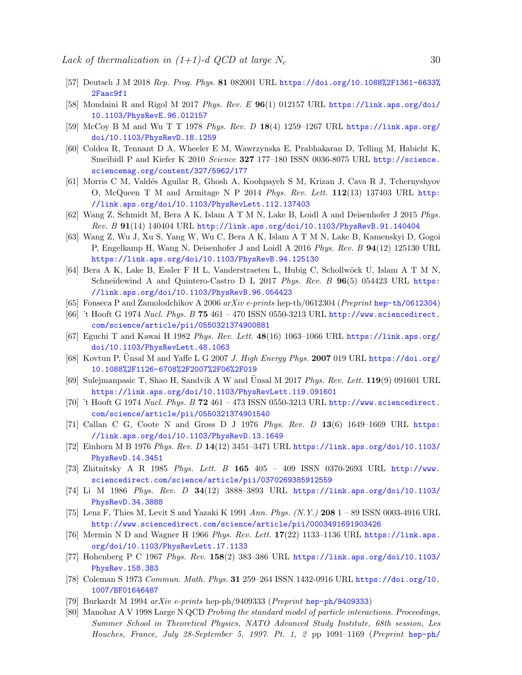- <span id="page-29-0"></span>[57] Deutsch J M 2018 Rep. Prog. Phys. 81 082001 URL [https://doi.org/10.1088%2F1361-6633%](https://doi.org/10.1088%2F1361-6633%2Faac9f1) [2Faac9f1](https://doi.org/10.1088%2F1361-6633%2Faac9f1)
- <span id="page-29-1"></span>[58] Mondaini R and Rigol M 2017 Phys. Rev. E  $96(1)$  012157 URL [https://link.aps.org/doi/](https://link.aps.org/doi/10.1103/PhysRevE.96.012157) [10.1103/PhysRevE.96.012157](https://link.aps.org/doi/10.1103/PhysRevE.96.012157)
- <span id="page-29-2"></span>[59] McCoy B M and Wu T T 1978 Phys. Rev. D 18(4) 1259–1267 URL [https://link.aps.org/](https://link.aps.org/doi/10.1103/PhysRevD.18.1259) [doi/10.1103/PhysRevD.18.1259](https://link.aps.org/doi/10.1103/PhysRevD.18.1259)
- <span id="page-29-3"></span>[60] Coldea R, Tennant D A, Wheeler E M, Wawrzynska E, Prabhakaran D, Telling M, Habicht K, Smeibidl P and Kiefer K 2010 Science 327 177–180 ISSN 0036-8075 URL [http://science.](http://science.sciencemag.org/content/327/5962/177) [sciencemag.org/content/327/5962/177](http://science.sciencemag.org/content/327/5962/177)
- <span id="page-29-4"></span>[61] Morris C M, Valdés Aguilar R, Ghosh A, Koohpayeh S M, Krizan J, Cava R J, Tchernyshyov O, McQueen T M and Armitage N P 2014 Phys. Rev. Lett.  $112(13)$  137403 URL [http:](http://link.aps.org/doi/10.1103/PhysRevLett.112.137403) [//link.aps.org/doi/10.1103/PhysRevLett.112.137403](http://link.aps.org/doi/10.1103/PhysRevLett.112.137403)
- <span id="page-29-5"></span>[62] Wang Z, Schmidt M, Bera A K, Islam A T M N, Lake B, Loidl A and Deisenhofer J 2015 Phys. Rev. B 91(14) 140404 URL <http://link.aps.org/doi/10.1103/PhysRevB.91.140404>
- [63] Wang Z, Wu J, Xu S, Yang W, Wu C, Bera A K, Islam A T M N, Lake B, Kamenskyi D, Gogoi P, Engelkamp H, Wang N, Deisenhofer J and Loidl A 2016 Phys. Rev. B 94(12) 125130 URL <https://link.aps.org/doi/10.1103/PhysRevB.94.125130>
- <span id="page-29-6"></span>[64] Bera A K, Lake B, Essler F H L, Vanderstraeten L, Hubig C, Schollw¨ock U, Islam A T M N, Schneidewind A and Quintero-Castro D L 2017 Phys. Rev. B 96(5) 054423 URL [https:](https://link.aps.org/doi/10.1103/PhysRevB.96.054423) [//link.aps.org/doi/10.1103/PhysRevB.96.054423](https://link.aps.org/doi/10.1103/PhysRevB.96.054423)
- <span id="page-29-7"></span>[65] Fonseca P and Zamolodchikov A 2006  $arXiv$  e-prints <hep-th/0612304> (Preprint hep-th/0612304)
- <span id="page-29-8"></span> $[66]$  't Hooft G 1974 Nucl. Phys. B 75 461 – 470 ISSN 0550-3213 URL [http://www.sciencedirect.](http://www.sciencedirect.com/science/article/pii/0550321374900881) [com/science/article/pii/0550321374900881](http://www.sciencedirect.com/science/article/pii/0550321374900881)
- <span id="page-29-9"></span>[67] Eguchi T and Kawai H 1982 Phys. Rev. Lett. 48(16) 1063–1066 URL [https://link.aps.org/](https://link.aps.org/doi/10.1103/PhysRevLett.48.1063) [doi/10.1103/PhysRevLett.48.1063](https://link.aps.org/doi/10.1103/PhysRevLett.48.1063)
- <span id="page-29-10"></span>[68] Kovtun P, Unsal M and Yaffe L G 2007 J. High Energy Phys. 2007 019 URL [https://doi.org/](https://doi.org/10.1088%2F1126-6708%2F2007%2F06%2F019) [10.1088%2F1126-6708%2F2007%2F06%2F019](https://doi.org/10.1088%2F1126-6708%2F2007%2F06%2F019)
- <span id="page-29-11"></span>[69] Sulejmanpasic T, Shao H, Sandvik A W and Unsal M 2017 *Phys. Rev. Lett.* **119**(9) 091601 URL <https://link.aps.org/doi/10.1103/PhysRevLett.119.091601>
- <span id="page-29-12"></span>[70] 't Hooft G 1974 Nucl. Phys. B  $72\,461 - 473$  ISSN 0550-3213 URL [http://www.sciencedirect.](http://www.sciencedirect.com/science/article/pii/0550321374901540) [com/science/article/pii/0550321374901540](http://www.sciencedirect.com/science/article/pii/0550321374901540)
- <span id="page-29-13"></span>[71] Callan C G, Coote N and Gross D J 1976 Phys. Rev. D 13(6) 1649–1669 URL [https:](https://link.aps.org/doi/10.1103/PhysRevD.13.1649) [//link.aps.org/doi/10.1103/PhysRevD.13.1649](https://link.aps.org/doi/10.1103/PhysRevD.13.1649)
- <span id="page-29-14"></span>[72] Einhorn M B 1976 Phys. Rev. D 14(12) 3451–3471 URL [https://link.aps.org/doi/10.1103/](https://link.aps.org/doi/10.1103/PhysRevD.14.3451) [PhysRevD.14.3451](https://link.aps.org/doi/10.1103/PhysRevD.14.3451)
- <span id="page-29-15"></span>[73] Zhitnitsky A R 1985 Phys. Lett. B 165 405 – 409 ISSN 0370-2693 URL [http://www.](http://www.sciencedirect.com/science/article/pii/0370269385912559) [sciencedirect.com/science/article/pii/0370269385912559](http://www.sciencedirect.com/science/article/pii/0370269385912559)
- <span id="page-29-16"></span>[74] Li M 1986 Phys. Rev. D 34(12) 3888–3893 URL [https://link.aps.org/doi/10.1103/](https://link.aps.org/doi/10.1103/PhysRevD.34.3888) [PhysRevD.34.3888](https://link.aps.org/doi/10.1103/PhysRevD.34.3888)
- <span id="page-29-17"></span>[75] Lenz F, Thies M, Levit S and Yazaki K 1991 Ann. Phys. (N.Y.) 208 1 – 89 ISSN 0003-4916 URL <http://www.sciencedirect.com/science/article/pii/0003491691903426>
- <span id="page-29-19"></span>[76] Mermin N D and Wagner H 1966 Phys. Rev. Lett. 17(22) 1133–1136 URL [https://link.aps.](https://link.aps.org/doi/10.1103/PhysRevLett.17.1133) [org/doi/10.1103/PhysRevLett.17.1133](https://link.aps.org/doi/10.1103/PhysRevLett.17.1133)
- [77] Hohenberg P C 1967 Phys. Rev. 158(2) 383–386 URL [https://link.aps.org/doi/10.1103/](https://link.aps.org/doi/10.1103/PhysRev.158.383) [PhysRev.158.383](https://link.aps.org/doi/10.1103/PhysRev.158.383)
- <span id="page-29-20"></span>[78] Coleman S 1973 Commun. Math. Phys. 31 259–264 ISSN 1432-0916 URL [https://doi.org/10.](https://doi.org/10.1007/BF01646487) [1007/BF01646487](https://doi.org/10.1007/BF01646487)
- <span id="page-29-18"></span>[79] Burkardt M 1994 arXiv e-prints hep-ph/9409333 (Preprint <hep-ph/9409333>)
- <span id="page-29-21"></span>[80] Manohar A V 1998 Large N QCD Probing the standard model of particle interactions. Proceedings, Summer School in Theoretical Physics, NATO Advanced Study Institute, 68th session, Les Houches, France, July 28-September 5, 1997. Pt. 1, 2 pp 1091–1169 (Preprint [hep-ph/](hep-ph/9802419)